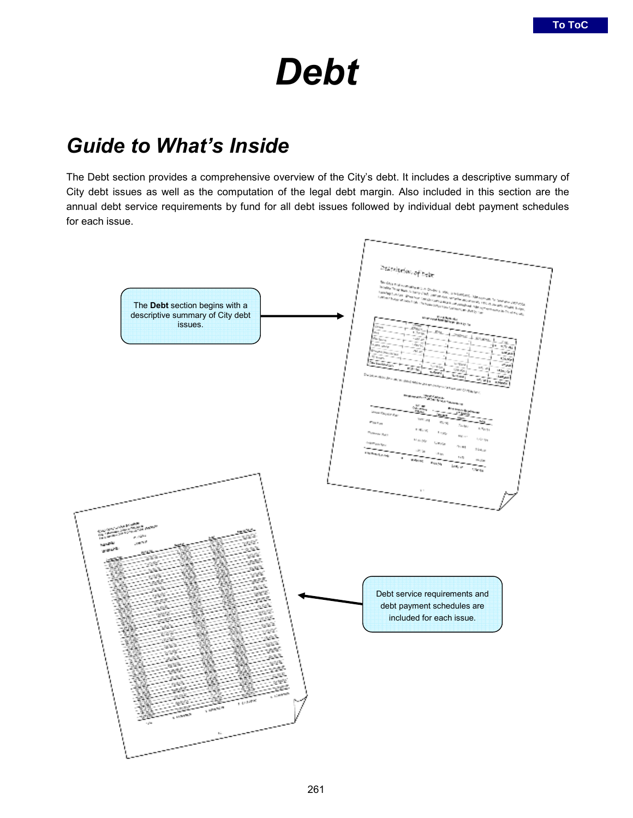# *Debt*

## *Guide to What's Inside*

The Debt section provides a comprehensive overview of the City's debt. It includes a descriptive summary of City debt issues as well as the computation of the legal debt margin. Also included in this section are the annual debt service requirements by fund for all debt issues followed by individual debt payment schedules for each issue.

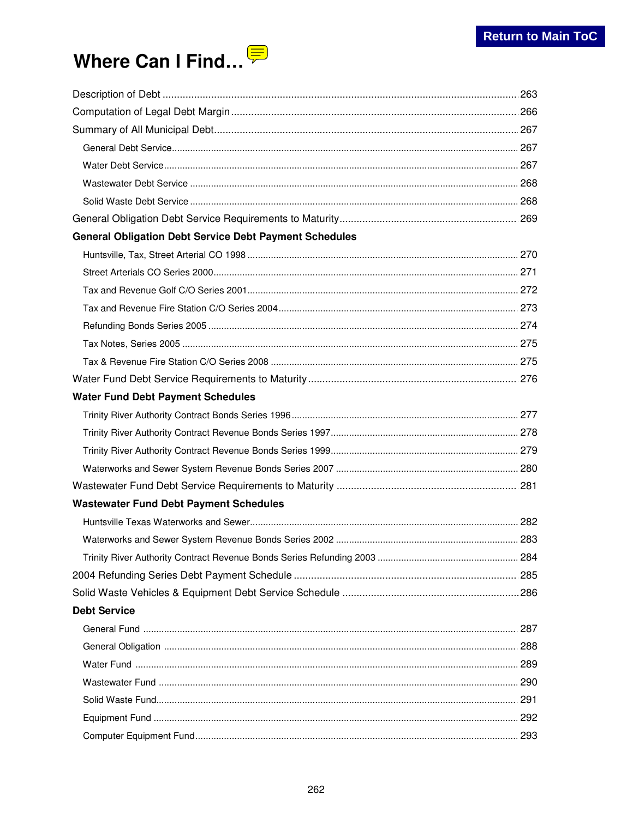# Where Can I Find...

| <b>General Obligation Debt Service Debt Payment Schedules</b> |  |
|---------------------------------------------------------------|--|
|                                                               |  |
|                                                               |  |
|                                                               |  |
|                                                               |  |
|                                                               |  |
|                                                               |  |
|                                                               |  |
|                                                               |  |
| <b>Water Fund Debt Payment Schedules</b>                      |  |
|                                                               |  |
|                                                               |  |
|                                                               |  |
|                                                               |  |
|                                                               |  |
| <b>Wastewater Fund Debt Payment Schedules</b>                 |  |
|                                                               |  |
|                                                               |  |
|                                                               |  |
|                                                               |  |
|                                                               |  |
| <b>Debt Service</b>                                           |  |
|                                                               |  |
|                                                               |  |
|                                                               |  |
|                                                               |  |
|                                                               |  |
|                                                               |  |
|                                                               |  |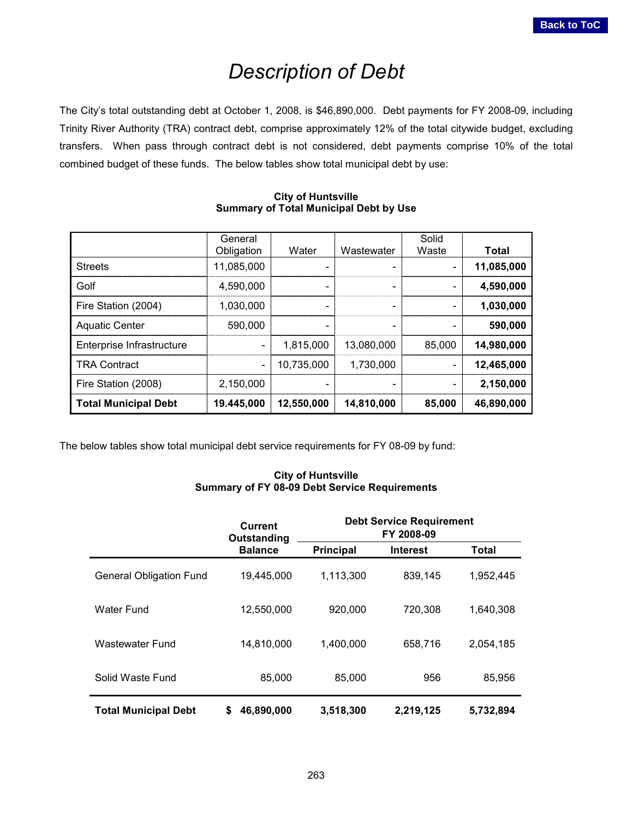## *Description of Debt*

<span id="page-2-0"></span>The City's total outstanding debt at October 1, 2008, is \$46,890,000. Debt payments for FY 2008-09, including Trinity River Authority (TRA) contract debt, comprise approximately 12% of the total citywide budget, excluding transfers. When pass through contract debt is not considered, debt payments comprise 10% of the total combined budget of these funds. The below tables show total municipal debt by use:

|                             | General    |            |                          | Solid  |            |
|-----------------------------|------------|------------|--------------------------|--------|------------|
|                             | Obligation | Water      | Wastewater               | Waste  | Total      |
| <b>Streets</b>              | 11.085.000 |            |                          |        | 11,085,000 |
| Golf                        | 4.590.000  |            | $\overline{\phantom{0}}$ |        | 4,590,000  |
| Fire Station (2004)         | 1.030.000  |            |                          |        | 1,030,000  |
| <b>Aquatic Center</b>       | 590,000    |            |                          |        | 590,000    |
| Enterprise Infrastructure   |            | 1.815.000  | 13.080.000               | 85,000 | 14,980,000 |
| <b>TRA Contract</b>         |            | 10.735.000 | 1.730.000                |        | 12,465,000 |
| Fire Station (2008)         | 2.150.000  |            |                          |        | 2,150,000  |
| <b>Total Municipal Debt</b> | 19.445,000 | 12,550,000 | 14,810,000               | 85,000 | 46,890,000 |

#### **City of Huntsville Summary of Total Municipal Debt by Use**

The below tables show total municipal debt service requirements for FY 08-09 by fund:

#### **City of Huntsville Summary of FY 08-09 Debt Service Requirements**

|                                | Current<br>Outstanding |                  | <b>Debt Service Requirement</b><br>FY 2008-09 |           |
|--------------------------------|------------------------|------------------|-----------------------------------------------|-----------|
|                                | <b>Balance</b>         | <b>Principal</b> | <b>Interest</b>                               | Total     |
| <b>General Obligation Fund</b> | 19,445,000             | 1,113,300        | 839,145                                       | 1,952,445 |
| Water Fund                     | 12,550,000             | 920,000          | 720,308                                       | 1,640,308 |
| <b>Wastewater Fund</b>         | 14,810,000             | 1,400,000        | 658,716                                       | 2,054,185 |
| Solid Waste Fund               | 85,000                 | 85,000           | 956                                           | 85,956    |
| <b>Total Municipal Debt</b>    | 46,890,000<br>S.       | 3,518,300        | 2,219,125                                     | 5,732,894 |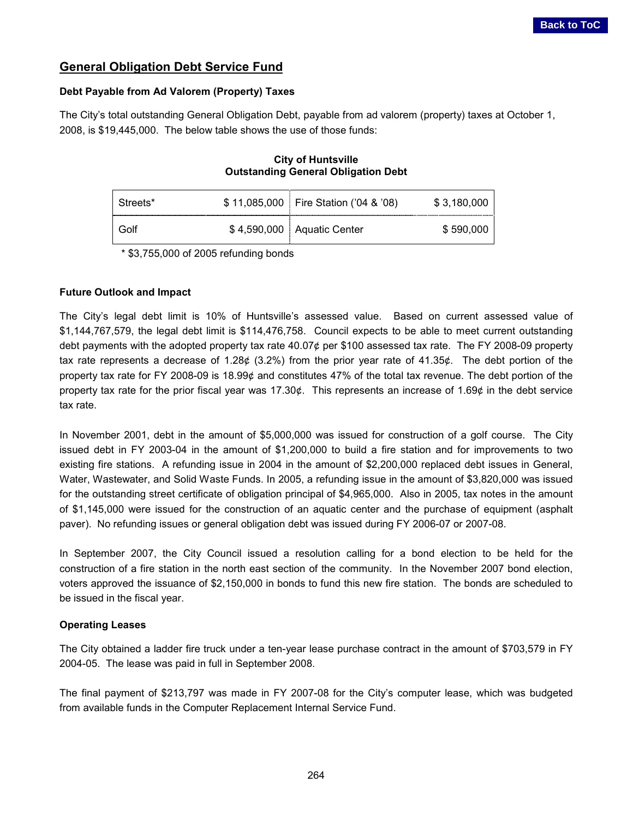### **General Obligation Debt Service Fund**

#### **Debt Payable from Ad Valorem (Property) Taxes**

The City's total outstanding General Obligation Debt, payable from ad valorem (property) taxes at October 1, 2008, is \$19,445,000. The below table shows the use of those funds:

#### **City of Huntsville Outstanding General Obligation Debt**

| Streets* | \$11,085,000 Fire Station ('04 & '08) | \$3,180,000 |
|----------|---------------------------------------|-------------|
| Golf     | \$4,590,000 Aquatic Center            | \$590,000   |

\* \$3,755,000 of 2005 refunding bonds

#### **Future Outlook and Impact**

The City's legal debt limit is 10% of Huntsville's assessed value. Based on current assessed value of \$1,144,767,579, the legal debt limit is \$114,476,758. Council expects to be able to meet current outstanding debt payments with the adopted property tax rate 40.07¢ per \$100 assessed tax rate. The FY 2008-09 property tax rate represents a decrease of 1.28¢ (3.2%) from the prior year rate of 41.35¢. The debt portion of the property tax rate for FY 2008-09 is 18.99¢ and constitutes 47% of the total tax revenue. The debt portion of the property tax rate for the prior fiscal year was 17.30¢. This represents an increase of 1.69¢ in the debt service tax rate.

In November 2001, debt in the amount of \$5,000,000 was issued for construction of a golf course. The City issued debt in FY 2003-04 in the amount of \$1,200,000 to build a fire station and for improvements to two existing fire stations. A refunding issue in 2004 in the amount of \$2,200,000 replaced debt issues in General, Water, Wastewater, and Solid Waste Funds. In 2005, a refunding issue in the amount of \$3,820,000 was issued for the outstanding street certificate of obligation principal of \$4,965,000. Also in 2005, tax notes in the amount of \$1,145,000 were issued for the construction of an aquatic center and the purchase of equipment (asphalt paver). No refunding issues or general obligation debt was issued during FY 2006-07 or 2007-08.

In September 2007, the City Council issued a resolution calling for a bond election to be held for the construction of a fire station in the north east section of the community. In the November 2007 bond election, voters approved the issuance of \$2,150,000 in bonds to fund this new fire station. The bonds are scheduled to be issued in the fiscal year.

#### **Operating Leases**

The City obtained a ladder fire truck under a ten-year lease purchase contract in the amount of \$703,579 in FY 2004-05. The lease was paid in full in September 2008.

The final payment of \$213,797 was made in FY 2007-08 for the City's computer lease, which was budgeted from available funds in the Computer Replacement Internal Service Fund.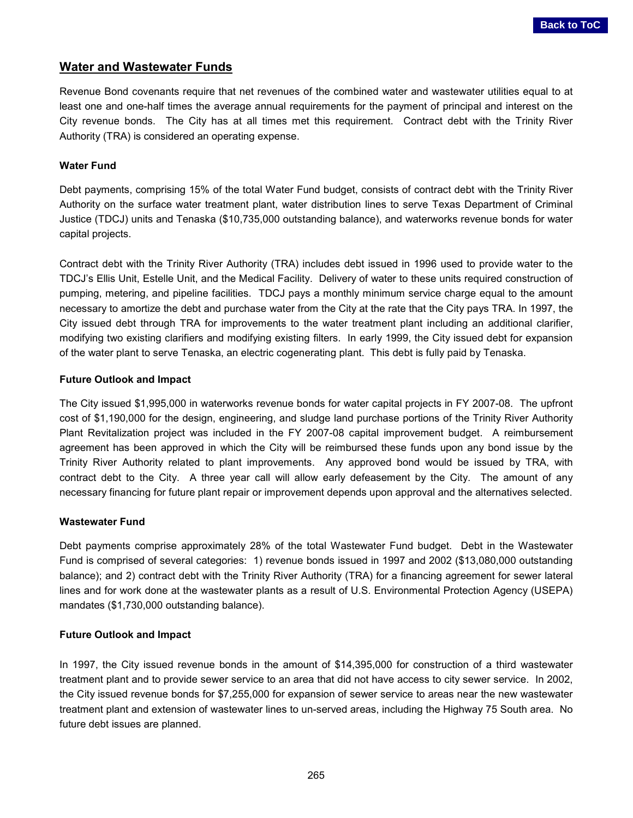#### **Water and Wastewater Funds**

Revenue Bond covenants require that net revenues of the combined water and wastewater utilities equal to at least one and one-half times the average annual requirements for the payment of principal and interest on the City revenue bonds. The City has at all times met this requirement. Contract debt with the Trinity River Authority (TRA) is considered an operating expense.

#### **Water Fund**

Debt payments, comprising 15% of the total Water Fund budget, consists of contract debt with the Trinity River Authority on the surface water treatment plant, water distribution lines to serve Texas Department of Criminal Justice (TDCJ) units and Tenaska (\$10,735,000 outstanding balance), and waterworks revenue bonds for water capital projects.

Contract debt with the Trinity River Authority (TRA) includes debt issued in 1996 used to provide water to the TDCJ's Ellis Unit, Estelle Unit, and the Medical Facility. Delivery of water to these units required construction of pumping, metering, and pipeline facilities. TDCJ pays a monthly minimum service charge equal to the amount necessary to amortize the debt and purchase water from the City at the rate that the City pays TRA. In 1997, the City issued debt through TRA for improvements to the water treatment plant including an additional clarifier, modifying two existing clarifiers and modifying existing filters. In early 1999, the City issued debt for expansion of the water plant to serve Tenaska, an electric cogenerating plant. This debt is fully paid by Tenaska.

#### **Future Outlook and Impact**

The City issued \$1,995,000 in waterworks revenue bonds for water capital projects in FY 2007-08. The upfront cost of \$1,190,000 for the design, engineering, and sludge land purchase portions of the Trinity River Authority Plant Revitalization project was included in the FY 2007-08 capital improvement budget. A reimbursement agreement has been approved in which the City will be reimbursed these funds upon any bond issue by the Trinity River Authority related to plant improvements. Any approved bond would be issued by TRA, with contract debt to the City. A three year call will allow early defeasement by the City. The amount of any necessary financing for future plant repair or improvement depends upon approval and the alternatives selected.

#### **Wastewater Fund**

Debt payments comprise approximately 28% of the total Wastewater Fund budget. Debt in the Wastewater Fund is comprised of several categories: 1) revenue bonds issued in 1997 and 2002 (\$13,080,000 outstanding balance); and 2) contract debt with the Trinity River Authority (TRA) for a financing agreement for sewer lateral lines and for work done at the wastewater plants as a result of U.S. Environmental Protection Agency (USEPA) mandates (\$1,730,000 outstanding balance).

#### **Future Outlook and Impact**

In 1997, the City issued revenue bonds in the amount of \$14,395,000 for construction of a third wastewater treatment plant and to provide sewer service to an area that did not have access to city sewer service. In 2002, the City issued revenue bonds for \$7,255,000 for expansion of sewer service to areas near the new wastewater treatment plant and extension of wastewater lines to un-served areas, including the Highway 75 South area. No future debt issues are planned.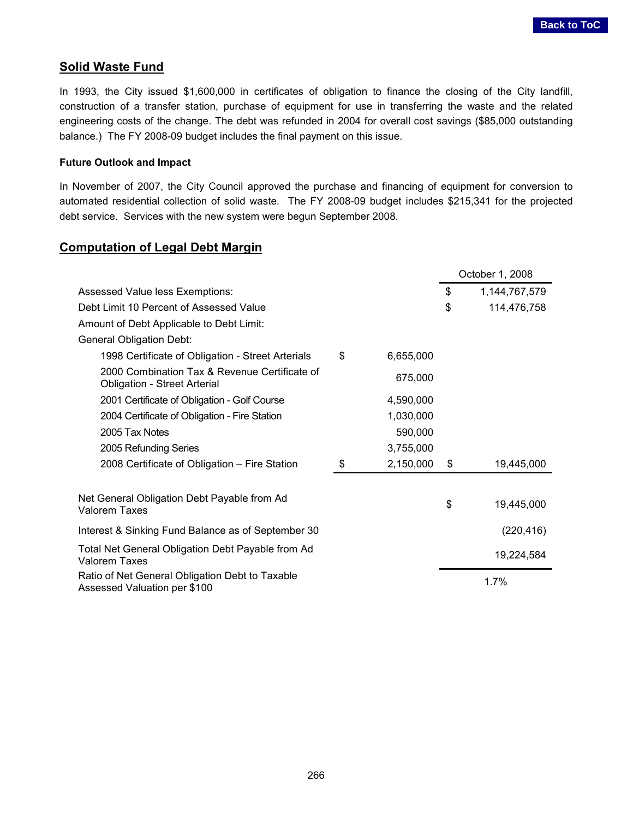#### <span id="page-5-0"></span>**Solid Waste Fund**

In 1993, the City issued \$1,600,000 in certificates of obligation to finance the closing of the City landfill, construction of a transfer station, purchase of equipment for use in transferring the waste and the related engineering costs of the change. The debt was refunded in 2004 for overall cost savings (\$85,000 outstanding balance.) The FY 2008-09 budget includes the final payment on this issue.

#### **Future Outlook and Impact**

In November of 2007, the City Council approved the purchase and financing of equipment for conversion to automated residential collection of solid waste. The FY 2008-09 budget includes \$215,341 for the projected debt service. Services with the new system were begun September 2008.

#### **Computation of Legal Debt Margin**

|                                                                                      |                 | October 1, 2008     |
|--------------------------------------------------------------------------------------|-----------------|---------------------|
| Assessed Value less Exemptions:                                                      |                 | \$<br>1,144,767,579 |
| Debt Limit 10 Percent of Assessed Value                                              |                 | \$<br>114,476,758   |
| Amount of Debt Applicable to Debt Limit:                                             |                 |                     |
| <b>General Obligation Debt:</b>                                                      |                 |                     |
| 1998 Certificate of Obligation - Street Arterials                                    | \$<br>6,655,000 |                     |
| 2000 Combination Tax & Revenue Certificate of<br><b>Obligation - Street Arterial</b> | 675,000         |                     |
| 2001 Certificate of Obligation - Golf Course                                         | 4,590,000       |                     |
| 2004 Certificate of Obligation - Fire Station                                        | 1,030,000       |                     |
| 2005 Tax Notes                                                                       | 590,000         |                     |
| 2005 Refunding Series                                                                | 3,755,000       |                     |
| 2008 Certificate of Obligation - Fire Station                                        | \$<br>2,150,000 | \$<br>19,445,000    |
|                                                                                      |                 |                     |
| Net General Obligation Debt Payable from Ad<br><b>Valorem Taxes</b>                  |                 | \$<br>19,445,000    |
| Interest & Sinking Fund Balance as of September 30                                   |                 | (220, 416)          |
| Total Net General Obligation Debt Payable from Ad<br>Valorem Taxes                   |                 | 19,224,584          |
| Ratio of Net General Obligation Debt to Taxable<br>Assessed Valuation per \$100      |                 | 1.7%                |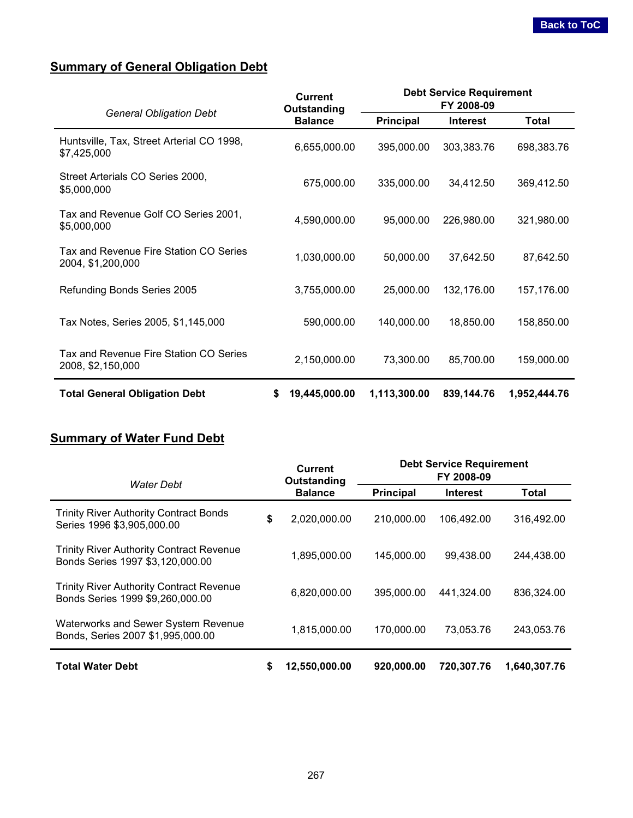## <span id="page-6-0"></span>**Summary of General Obligation Debt**

|                                                             | Current<br>Outstanding | <b>Debt Service Requirement</b><br>FY 2008-09 |                 |              |
|-------------------------------------------------------------|------------------------|-----------------------------------------------|-----------------|--------------|
| <b>General Obligation Debt</b>                              | <b>Balance</b>         | <b>Principal</b>                              | <b>Interest</b> | Total        |
| Huntsville, Tax, Street Arterial CO 1998,<br>\$7,425,000    | 6,655,000.00           | 395,000.00                                    | 303,383.76      | 698,383.76   |
| Street Arterials CO Series 2000,<br>\$5,000,000             | 675,000.00             | 335,000.00                                    | 34,412.50       | 369,412.50   |
| Tax and Revenue Golf CO Series 2001,<br>\$5,000,000         | 4,590,000.00           | 95,000.00                                     | 226,980.00      | 321,980.00   |
| Tax and Revenue Fire Station CO Series<br>2004, \$1,200,000 | 1,030,000.00           | 50,000.00                                     | 37,642.50       | 87,642.50    |
| Refunding Bonds Series 2005                                 | 3,755,000.00           | 25,000.00                                     | 132,176.00      | 157,176.00   |
| Tax Notes, Series 2005, \$1,145,000                         | 590,000.00             | 140,000.00                                    | 18,850.00       | 158,850.00   |
| Tax and Revenue Fire Station CO Series<br>2008, \$2,150,000 | 2,150,000.00           | 73,300.00                                     | 85,700.00       | 159,000.00   |
| <b>Total General Obligation Debt</b>                        | \$<br>19,445,000.00    | 1,113,300.00                                  | 839,144.76      | 1,952,444.76 |

## **Summary of Water Fund Debt**

|                                                                                     |    | <b>Current</b><br>Outstanding |                  | <b>Debt Service Requirement</b><br>FY 2008-09 |              |
|-------------------------------------------------------------------------------------|----|-------------------------------|------------------|-----------------------------------------------|--------------|
| Water Debt                                                                          |    | <b>Balance</b>                | <b>Principal</b> | <b>Interest</b>                               | Total        |
| <b>Trinity River Authority Contract Bonds</b><br>Series 1996 \$3,905,000.00         | \$ | 2,020,000.00                  | 210,000.00       | 106,492.00                                    | 316,492.00   |
| <b>Trinity River Authority Contract Revenue</b><br>Bonds Series 1997 \$3,120,000.00 |    | 1,895,000.00                  | 145,000.00       | 99,438.00                                     | 244,438.00   |
| <b>Trinity River Authority Contract Revenue</b><br>Bonds Series 1999 \$9,260,000.00 |    | 6,820,000.00                  | 395,000.00       | 441.324.00                                    | 836,324.00   |
| <b>Waterworks and Sewer System Revenue</b><br>Bonds, Series 2007 \$1,995,000.00     |    | 1,815,000.00                  | 170,000.00       | 73,053.76                                     | 243.053.76   |
| <b>Total Water Debt</b>                                                             | \$ | 12,550,000.00                 | 920,000.00       | 720,307.76                                    | 1,640,307.76 |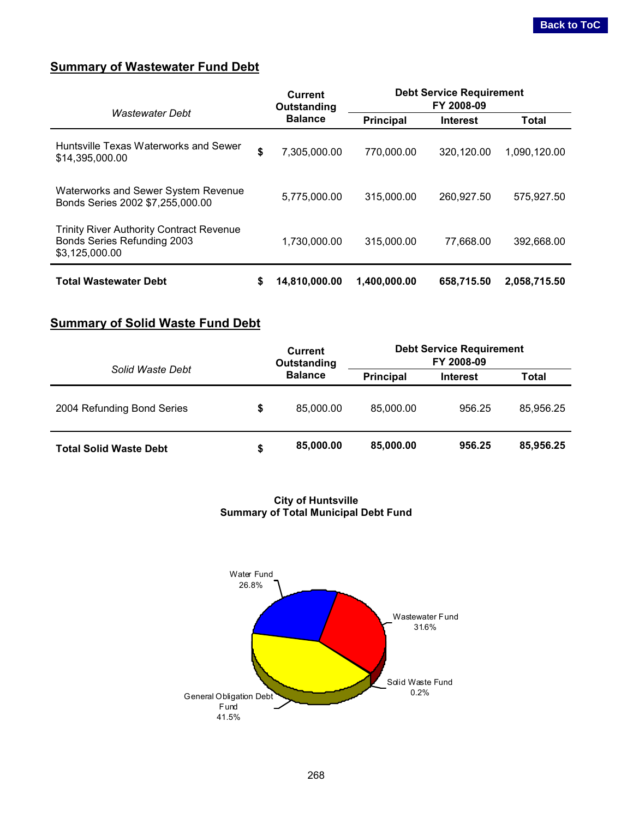## <span id="page-7-0"></span>**Summary of Wastewater Fund Debt**

|                                                                                                  |    | <b>Current</b><br>Outstanding | <b>Debt Service Requirement</b><br>FY 2008-09 |                 |              |
|--------------------------------------------------------------------------------------------------|----|-------------------------------|-----------------------------------------------|-----------------|--------------|
| <b>Wastewater Debt</b>                                                                           |    | <b>Balance</b>                | <b>Principal</b>                              | <b>Interest</b> | <b>Total</b> |
| Huntsville Texas Waterworks and Sewer<br>\$14,395,000,00                                         | \$ | 7,305,000.00                  | 770,000.00                                    | 320.120.00      | 1,090,120.00 |
| Waterworks and Sewer System Revenue<br>Bonds Series 2002 \$7,255,000.00                          |    | 5,775,000.00                  | 315,000.00                                    | 260.927.50      | 575,927.50   |
| <b>Trinity River Authority Contract Revenue</b><br>Bonds Series Refunding 2003<br>\$3,125,000.00 |    | 1,730,000.00                  | 315,000.00                                    | 77,668.00       | 392,668.00   |
| <b>Total Wastewater Debt</b>                                                                     | S  | 14,810,000.00                 | 1,400,000.00                                  | 658,715.50      | 2,058,715.50 |

## **Summary of Solid Waste Fund Debt**

|                               | Current<br>Outstanding | <b>Debt Service Requirement</b><br>FY 2008-09 |                 |           |
|-------------------------------|------------------------|-----------------------------------------------|-----------------|-----------|
| Solid Waste Debt              | <b>Balance</b>         | <b>Principal</b>                              | <b>Interest</b> | Total     |
| 2004 Refunding Bond Series    | \$<br>85,000.00        | 85,000,00                                     | 956.25          | 85,956.25 |
| <b>Total Solid Waste Debt</b> | \$<br>85,000.00        | 85,000.00                                     | 956.25          | 85,956.25 |

#### **City of Huntsville Summary of Total Municipal Debt Fund**

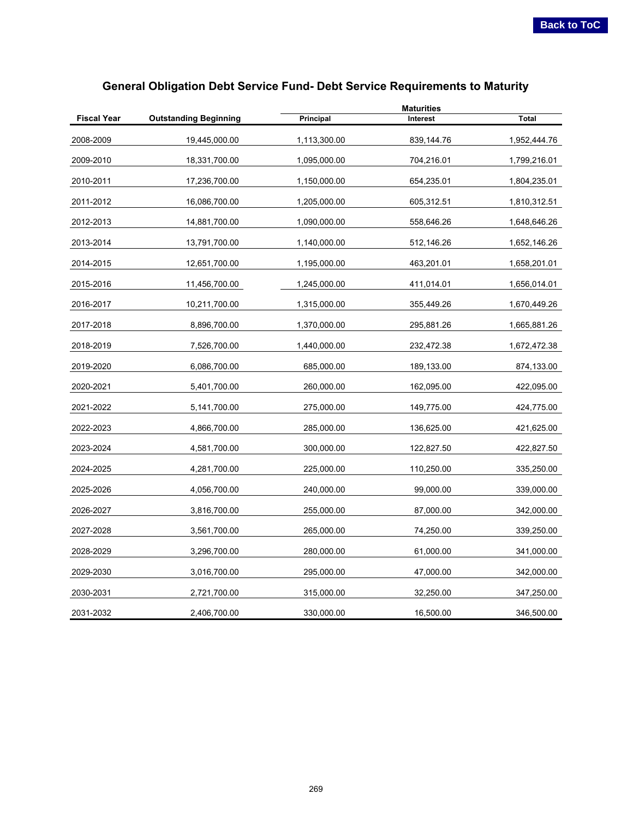<span id="page-8-0"></span>

| <b>Fiscal Year</b> | <b>Outstanding Beginning</b> | Principal    | Interest   | <b>Total</b> |
|--------------------|------------------------------|--------------|------------|--------------|
| 2008-2009          | 19,445,000.00                | 1,113,300.00 | 839,144.76 | 1,952,444.76 |
| 2009-2010          | 18,331,700.00                | 1,095,000.00 | 704,216.01 | 1,799,216.01 |
| 2010-2011          | 17,236,700.00                | 1,150,000.00 | 654,235.01 | 1,804,235.01 |
| 2011-2012          | 16,086,700.00                | 1,205,000.00 | 605,312.51 | 1,810,312.51 |
| 2012-2013          | 14,881,700.00                | 1,090,000.00 | 558,646.26 | 1,648,646.26 |
| 2013-2014          | 13,791,700.00                | 1,140,000.00 | 512,146.26 | 1,652,146.26 |
| 2014-2015          | 12,651,700.00                | 1,195,000.00 | 463,201.01 | 1,658,201.01 |
| 2015-2016          | 11,456,700.00                | 1,245,000.00 | 411,014.01 | 1,656,014.01 |
| 2016-2017          | 10,211,700.00                | 1,315,000.00 | 355,449.26 | 1,670,449.26 |
| 2017-2018          | 8,896,700.00                 | 1,370,000.00 | 295,881.26 | 1,665,881.26 |
| 2018-2019          | 7,526,700.00                 | 1,440,000.00 | 232,472.38 | 1,672,472.38 |
| 2019-2020          | 6,086,700.00                 | 685,000.00   | 189,133.00 | 874,133.00   |
| 2020-2021          | 5,401,700.00                 | 260,000.00   | 162,095.00 | 422,095.00   |
| 2021-2022          | 5,141,700.00                 | 275,000.00   | 149,775.00 | 424,775.00   |
| 2022-2023          | 4,866,700.00                 | 285,000.00   | 136,625.00 | 421,625.00   |
| 2023-2024          | 4,581,700.00                 | 300,000.00   | 122,827.50 | 422,827.50   |
| 2024-2025          | 4,281,700.00                 | 225,000.00   | 110,250.00 | 335,250.00   |
| 2025-2026          | 4,056,700.00                 | 240,000.00   | 99,000.00  | 339,000.00   |
| 2026-2027          | 3,816,700.00                 | 255,000.00   | 87,000.00  | 342,000.00   |
| 2027-2028          | 3,561,700.00                 | 265,000.00   | 74,250.00  | 339,250.00   |
| 2028-2029          | 3,296,700.00                 | 280,000.00   | 61,000.00  | 341,000.00   |
| 2029-2030          | 3,016,700.00                 | 295,000.00   | 47,000.00  | 342,000.00   |
| 2030-2031          | 2,721,700.00                 | 315,000.00   | 32,250.00  | 347,250.00   |
| 2031-2032          | 2,406,700.00                 | 330,000.00   | 16,500.00  | 346,500.00   |

## **General Obligation Debt Service Fund- Debt Service Requirements to Maturity**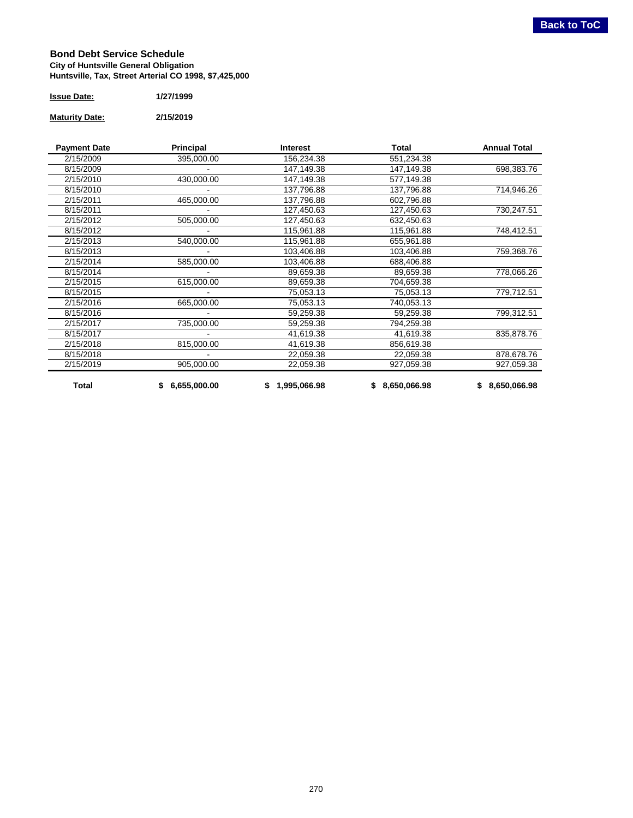#### <span id="page-9-0"></span>**Bond Debt Service Schedule City of Huntsville General Obligation Huntsville, Tax, Street Arterial CO 1998, \$7,425,000**

| <b>Issue Date:</b> | 1/27/1999 |
|--------------------|-----------|
|                    |           |

#### **Maturity Date: 2/15/2019**

| <b>Payment Date</b> | Principal      | <b>Interest</b> | Total        | <b>Annual Total</b> |
|---------------------|----------------|-----------------|--------------|---------------------|
| 2/15/2009           | 395,000.00     | 156,234.38      | 551,234.38   |                     |
| 8/15/2009           |                | 147,149.38      | 147,149.38   | 698,383.76          |
| 2/15/2010           | 430,000.00     | 147,149.38      | 577,149.38   |                     |
| 8/15/2010           |                | 137,796.88      | 137,796.88   | 714,946.26          |
| 2/15/2011           | 465,000.00     | 137,796.88      | 602,796.88   |                     |
| 8/15/2011           |                | 127,450.63      | 127,450.63   | 730,247.51          |
| 2/15/2012           | 505,000.00     | 127,450.63      | 632,450.63   |                     |
| 8/15/2012           |                | 115,961.88      | 115,961.88   | 748,412.51          |
| 2/15/2013           | 540,000.00     | 115,961.88      | 655,961.88   |                     |
| 8/15/2013           |                | 103,406.88      | 103,406.88   | 759,368.76          |
| 2/15/2014           | 585,000.00     | 103,406.88      | 688,406.88   |                     |
| 8/15/2014           |                | 89,659.38       | 89,659.38    | 778,066.26          |
| 2/15/2015           | 615,000.00     | 89,659.38       | 704,659.38   |                     |
| 8/15/2015           |                | 75,053.13       | 75,053.13    | 779,712.51          |
| 2/15/2016           | 665,000.00     | 75,053.13       | 740,053.13   |                     |
| 8/15/2016           |                | 59,259.38       | 59,259.38    | 799,312.51          |
| 2/15/2017           | 735,000.00     | 59,259.38       | 794,259.38   |                     |
| 8/15/2017           |                | 41,619.38       | 41,619.38    | 835,878.76          |
| 2/15/2018           | 815,000.00     | 41,619.38       | 856,619.38   |                     |
| 8/15/2018           |                | 22,059.38       | 22,059.38    | 878,678.76          |
| 2/15/2019           | 905,000.00     | 22,059.38       | 927,059.38   | 927,059.38          |
| Total               | \$6,655,000.00 | \$1,995,066.98  | 8,650,066.98 | \$8,650,066.98      |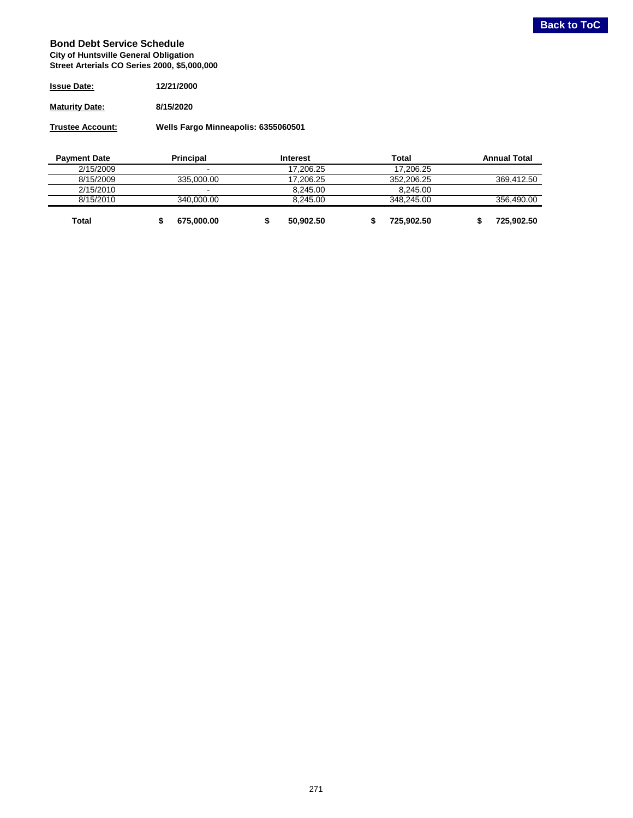#### <span id="page-10-0"></span>**Bond Debt Service Schedule City of Huntsville General Obligation Street Arterials CO Series 2000, \$5,000,000**

| <b>Issue Date:</b>    | 12/21/2000 |
|-----------------------|------------|
| <b>Maturity Date:</b> | 8/15/2020  |

**Trustee Account: Wells Fargo Minneapolis: 6355060501**

| <b>Payment Date</b> | <b>Principal</b> | Interest  | Total      | <b>Annual Total</b> |
|---------------------|------------------|-----------|------------|---------------------|
| 2/15/2009           | $\blacksquare$   | 17.206.25 | 17.206.25  |                     |
| 8/15/2009           | 335,000,00       | 17.206.25 | 352.206.25 | 369.412.50          |
| 2/15/2010           | $\blacksquare$   | 8.245.00  | 8.245.00   |                     |
| 8/15/2010           | 340,000,00       | 8.245.00  | 348.245.00 | 356,490.00          |
| Total               | 675,000.00       | 50.902.50 | 725.902.50 | 725.902.50          |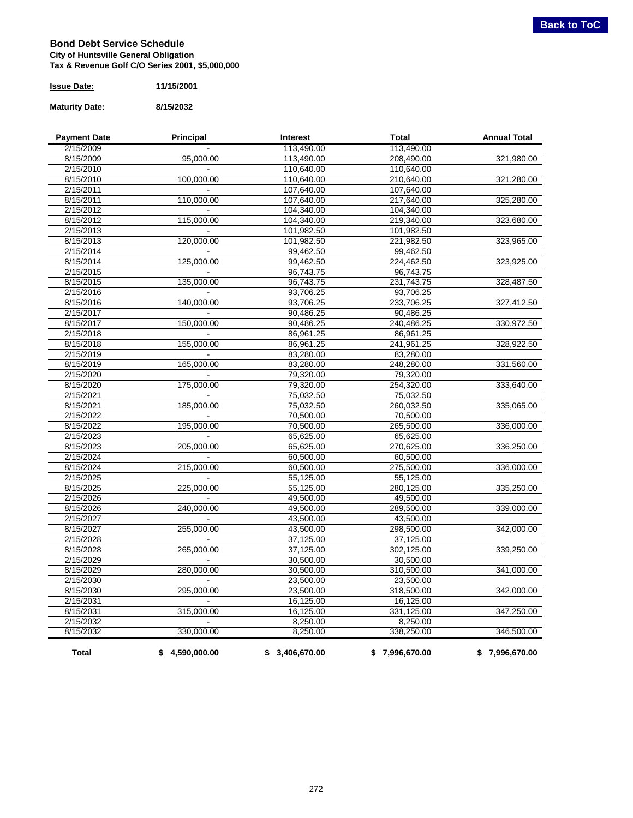#### <span id="page-11-0"></span>**Bond Debt Service Schedule City of Huntsville General Obligation Tax & Revenue Golf C/O Series 2001, \$5,000,000**

| <b>Issue Date:</b> | 11/15/2001 |
|--------------------|------------|
|                    |            |

#### **Maturity Date: 8/15/2032**

| <b>Payment Date</b> | Principal      | Interest       | <b>Total</b>   | <b>Annual Total</b> |
|---------------------|----------------|----------------|----------------|---------------------|
| 2/15/2009           |                | 113,490.00     | 113,490.00     |                     |
| 8/15/2009           | 95,000.00      | 113,490.00     | 208,490.00     | 321,980.00          |
| 2/15/2010           |                | 110,640.00     | 110,640.00     |                     |
| 8/15/2010           | 100,000.00     | 110,640.00     | 210,640.00     | 321,280.00          |
| 2/15/2011           |                | 107,640.00     | 107,640.00     |                     |
| 8/15/2011           | 110,000.00     | 107,640.00     | 217,640.00     | 325,280.00          |
| 2/15/2012           |                | 104,340.00     | 104,340.00     |                     |
| 8/15/2012           | 115,000.00     | 104,340.00     | 219,340.00     | 323,680.00          |
| 2/15/2013           |                | 101,982.50     | 101,982.50     |                     |
| 8/15/2013           | 120,000.00     | 101,982.50     | 221,982.50     | 323,965.00          |
| 2/15/2014           |                | 99,462.50      | 99,462.50      |                     |
| 8/15/2014           | 125,000.00     | 99,462.50      | 224,462.50     | 323,925.00          |
| 2/15/2015           |                | 96,743.75      | 96,743.75      |                     |
| 8/15/2015           | 135,000.00     | 96,743.75      | 231,743.75     | 328,487.50          |
| 2/15/2016           |                | 93,706.25      | 93,706.25      |                     |
| 8/15/2016           | 140,000.00     | 93,706.25      | 233,706.25     | 327,412.50          |
| 2/15/2017           |                | 90,486.25      | 90,486.25      |                     |
| 8/15/2017           | 150,000.00     | 90,486.25      | 240,486.25     | 330,972.50          |
| 2/15/2018           |                | 86,961.25      | 86,961.25      |                     |
| 8/15/2018           | 155,000.00     | 86,961.25      | 241,961.25     | 328,922.50          |
| 2/15/2019           |                | 83,280.00      | 83,280.00      |                     |
| 8/15/2019           | 165,000.00     | 83,280.00      | 248,280.00     | 331,560.00          |
| 2/15/2020           |                | 79,320.00      | 79,320.00      |                     |
| 8/15/2020           | 175,000.00     | 79,320.00      | 254,320.00     | 333,640.00          |
| 2/15/2021           |                | 75,032.50      | 75,032.50      |                     |
| 8/15/2021           | 185,000.00     | 75,032.50      | 260,032.50     | 335,065.00          |
| 2/15/2022           |                | 70,500.00      | 70,500.00      |                     |
| 8/15/2022           | 195,000.00     | 70,500.00      | 265,500.00     | 336,000.00          |
| 2/15/2023           |                | 65,625.00      | 65,625.00      |                     |
| 8/15/2023           | 205,000.00     | 65,625.00      | 270,625.00     | 336,250.00          |
| 2/15/2024           |                | 60.500.00      | 60,500.00      |                     |
| 8/15/2024           | 215,000.00     | 60,500.00      | 275,500.00     | 336,000.00          |
| 2/15/2025           |                | 55,125.00      | 55,125.00      |                     |
| 8/15/2025           | 225,000.00     | 55,125.00      | 280,125.00     | 335,250.00          |
| 2/15/2026           |                | 49,500.00      | 49,500.00      |                     |
| 8/15/2026           | 240,000.00     | 49,500.00      | 289,500.00     | 339,000.00          |
| 2/15/2027           |                | 43,500.00      | 43,500.00      |                     |
| 8/15/2027           | 255,000.00     | 43,500.00      | 298,500.00     | 342,000.00          |
| 2/15/2028           |                | 37,125.00      | 37,125.00      |                     |
| 8/15/2028           | 265,000.00     | 37,125.00      | 302,125.00     | 339,250.00          |
| 2/15/2029           |                | 30,500.00      | 30,500.00      |                     |
| 8/15/2029           | 280,000.00     | 30,500.00      | 310,500.00     | 341,000.00          |
| 2/15/2030           |                | 23,500.00      | 23,500.00      |                     |
| 8/15/2030           | 295,000.00     | 23,500.00      | 318,500.00     | 342,000.00          |
| 2/15/2031           |                | 16,125.00      | 16,125.00      |                     |
| 8/15/2031           | 315,000.00     | 16,125.00      | 331,125.00     | 347,250.00          |
| 2/15/2032           |                | 8,250.00       | 8,250.00       |                     |
| 8/15/2032           | 330,000.00     | 8,250.00       | 338,250.00     | 346,500.00          |
| Total               | \$4,590,000.00 | \$3,406,670.00 | \$7,996,670.00 | \$7,996,670.00      |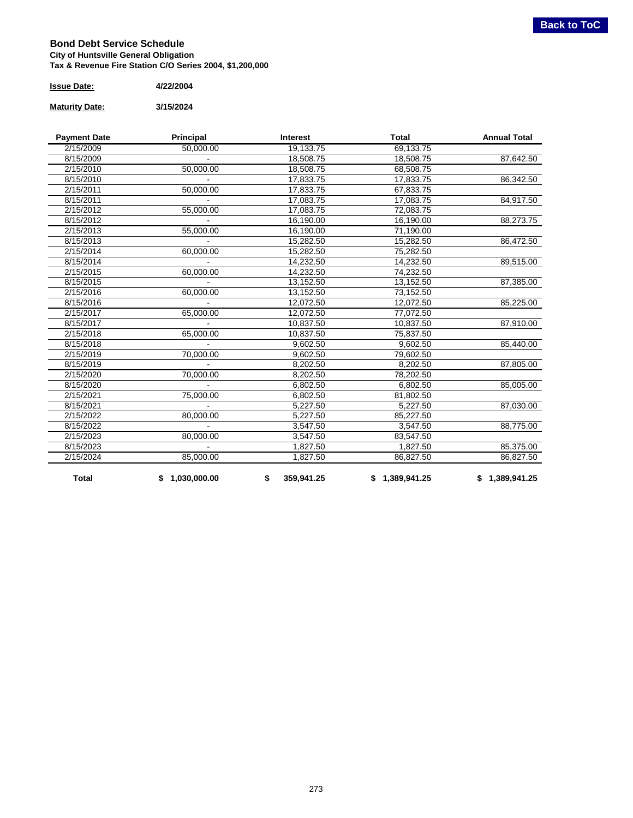#### <span id="page-12-0"></span>**Bond Debt Service Schedule City of Huntsville General Obligation Tax & Revenue Fire Station C/O Series 2004, \$1,200,000**

| <b>Issue Date:</b> | 4/22/2004 |
|--------------------|-----------|
|--------------------|-----------|

#### **Maturity Date: 3/15/2024**

| <b>Payment Date</b> | Principal      | <b>Interest</b>  | <b>Total</b>   | <b>Annual Total</b> |
|---------------------|----------------|------------------|----------------|---------------------|
| 2/15/2009           | 50,000.00      | 19,133.75        | 69,133.75      |                     |
| 8/15/2009           |                | 18,508.75        | 18,508.75      | 87,642.50           |
| 2/15/2010           | 50,000.00      | 18,508.75        | 68,508.75      |                     |
| 8/15/2010           |                | 17,833.75        | 17,833.75      | 86,342.50           |
| 2/15/2011           | 50,000.00      | 17,833.75        | 67,833.75      |                     |
| 8/15/2011           |                | 17,083.75        | 17,083.75      | 84,917.50           |
| 2/15/2012           | 55,000.00      | 17,083.75        | 72,083.75      |                     |
| 8/15/2012           |                | 16,190.00        | 16,190.00      | 88,273.75           |
| 2/15/2013           | 55,000.00      | 16,190.00        | 71,190.00      |                     |
| 8/15/2013           |                | 15,282.50        | 15,282.50      | 86,472.50           |
| 2/15/2014           | 60,000.00      | 15,282.50        | 75,282.50      |                     |
| 8/15/2014           |                | 14,232.50        | 14,232.50      | 89,515.00           |
| 2/15/2015           | 60,000.00      | 14,232.50        | 74,232.50      |                     |
| 8/15/2015           |                | 13,152.50        | 13,152.50      | 87,385.00           |
| 2/15/2016           | 60,000.00      | 13,152.50        | 73,152.50      |                     |
| 8/15/2016           |                | 12,072.50        | 12,072.50      | 85,225.00           |
| 2/15/2017           | 65,000.00      | 12,072.50        | 77,072.50      |                     |
| 8/15/2017           |                | 10,837.50        | 10,837.50      | 87,910.00           |
| 2/15/2018           | 65,000.00      | 10,837.50        | 75,837.50      |                     |
| 8/15/2018           |                | 9,602.50         | 9,602.50       | 85,440.00           |
| 2/15/2019           | 70,000.00      | 9,602.50         | 79,602.50      |                     |
| 8/15/2019           |                | 8,202.50         | 8,202.50       | 87,805.00           |
| 2/15/2020           | 70,000.00      | 8,202.50         | 78,202.50      |                     |
| 8/15/2020           |                | 6,802.50         | 6,802.50       | 85,005.00           |
| 2/15/2021           | 75,000.00      | 6,802.50         | 81,802.50      |                     |
| 8/15/2021           |                | 5,227.50         | 5,227.50       | 87,030.00           |
| 2/15/2022           | 80,000.00      | 5,227.50         | 85,227.50      |                     |
| 8/15/2022           |                | 3,547.50         | 3,547.50       | 88,775.00           |
| 2/15/2023           | 80,000.00      | 3,547.50         | 83,547.50      |                     |
| 8/15/2023           |                | 1,827.50         | 1,827.50       | 85,375.00           |
| 2/15/2024           | 85.000.00      | 1,827.50         | 86,827.50      | 86,827.50           |
| <b>Total</b>        | \$1,030,000.00 | 359,941.25<br>\$ | \$1,389,941.25 | \$1,389,941.25      |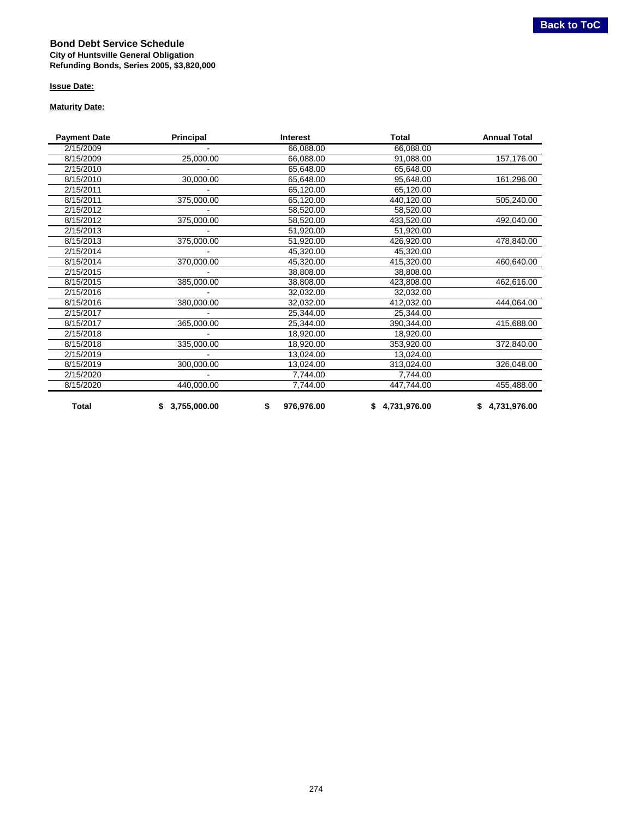#### <span id="page-13-0"></span>**Bond Debt Service Schedule City of Huntsville General Obligation Refunding Bonds, Series 2005, \$3,820,000**

#### **Issue Date:**

#### **Maturity Date:**

| <b>Payment Date</b> | Principal      | <b>Interest</b>  | Total          | <b>Annual Total</b> |
|---------------------|----------------|------------------|----------------|---------------------|
| 2/15/2009           |                | 66,088.00        | 66,088.00      |                     |
| 8/15/2009           | 25,000.00      | 66,088.00        | 91,088.00      | 157,176.00          |
| 2/15/2010           |                | 65,648.00        | 65,648.00      |                     |
| 8/15/2010           | 30,000.00      | 65,648.00        | 95,648.00      | 161,296.00          |
| 2/15/2011           |                | 65,120.00        | 65,120.00      |                     |
| 8/15/2011           | 375,000.00     | 65,120.00        | 440,120.00     | 505,240.00          |
| 2/15/2012           |                | 58,520.00        | 58,520.00      |                     |
| 8/15/2012           | 375,000.00     | 58,520.00        | 433,520.00     | 492,040.00          |
| 2/15/2013           |                | 51,920.00        | 51,920.00      |                     |
| 8/15/2013           | 375,000.00     | 51,920.00        | 426,920.00     | 478,840.00          |
| 2/15/2014           |                | 45,320.00        | 45,320.00      |                     |
| 8/15/2014           | 370,000.00     | 45,320.00        | 415,320.00     | 460,640.00          |
| 2/15/2015           |                | 38,808.00        | 38,808.00      |                     |
| 8/15/2015           | 385,000.00     | 38,808.00        | 423,808.00     | 462,616.00          |
| 2/15/2016           |                | 32,032.00        | 32,032.00      |                     |
| 8/15/2016           | 380,000.00     | 32,032.00        | 412,032.00     | 444,064.00          |
| 2/15/2017           |                | 25,344.00        | 25,344.00      |                     |
| 8/15/2017           | 365,000.00     | 25,344.00        | 390,344.00     | 415,688.00          |
| 2/15/2018           |                | 18,920.00        | 18,920.00      |                     |
| 8/15/2018           | 335,000.00     | 18,920.00        | 353,920.00     | 372,840.00          |
| 2/15/2019           |                | 13,024.00        | 13,024.00      |                     |
| 8/15/2019           | 300,000.00     | 13,024.00        | 313,024.00     | 326,048.00          |
| 2/15/2020           |                | 7,744.00         | 7,744.00       |                     |
| 8/15/2020           | 440,000.00     | 7,744.00         | 447,744.00     | 455,488.00          |
| Total               | \$3,755,000.00 | 976,976.00<br>\$ | \$4,731,976.00 | \$4,731,976.00      |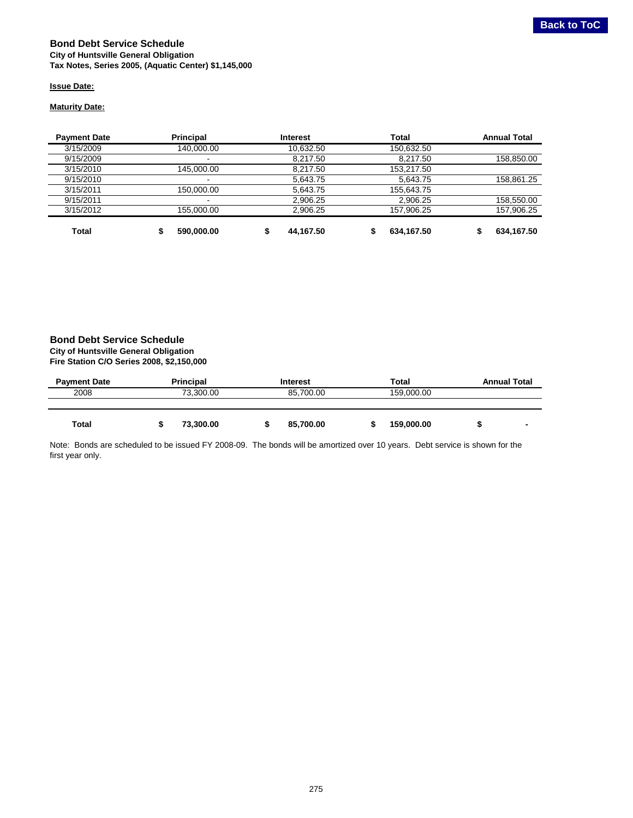#### <span id="page-14-0"></span>**Bond Debt Service Schedule City of Huntsville General Obligation Tax Notes, Series 2005, (Aquatic Center) \$1,145,000**

#### **Issue Date:**

#### **Maturity Date:**

| <b>Payment Date</b> | <b>Principal</b> | <b>Interest</b> | <b>Total</b> | <b>Annual Total</b> |
|---------------------|------------------|-----------------|--------------|---------------------|
| 3/15/2009           | 140.000.00       | 10.632.50       | 150.632.50   |                     |
| 9/15/2009           | $\blacksquare$   | 8.217.50        | 8.217.50     | 158,850.00          |
| 3/15/2010           | 145.000.00       | 8.217.50        | 153.217.50   |                     |
| 9/15/2010           | $\blacksquare$   | 5.643.75        | 5.643.75     | 158,861.25          |
| 3/15/2011           | 150.000.00       | 5.643.75        | 155,643.75   |                     |
| 9/15/2011           | $\blacksquare$   | 2.906.25        | 2.906.25     | 158,550.00          |
| 3/15/2012           | 155.000.00       | 2.906.25        | 157.906.25   | 157,906.25          |
| Total               | 590,000.00       | 44,167.50       | 634,167.50   | 634,167.50          |

#### **Bond Debt Service Schedule City of Huntsville General Obligation**

**Fire Station C/O Series 2008, \$2,150,000**

| <b>Payment Date</b> | <b>Principal</b> | Interest  | Total      | <b>Annual Total</b>      |
|---------------------|------------------|-----------|------------|--------------------------|
| 2008                | 73.300.00        | 85.700.00 | 159.000.00 |                          |
|                     |                  |           |            |                          |
| Total               | 73,300.00        | 85,700.00 | 159,000.00 | $\overline{\phantom{a}}$ |

Note: Bonds are scheduled to be issued FY 2008-09. The bonds will be amortized over 10 years. Debt service is shown for the first year only.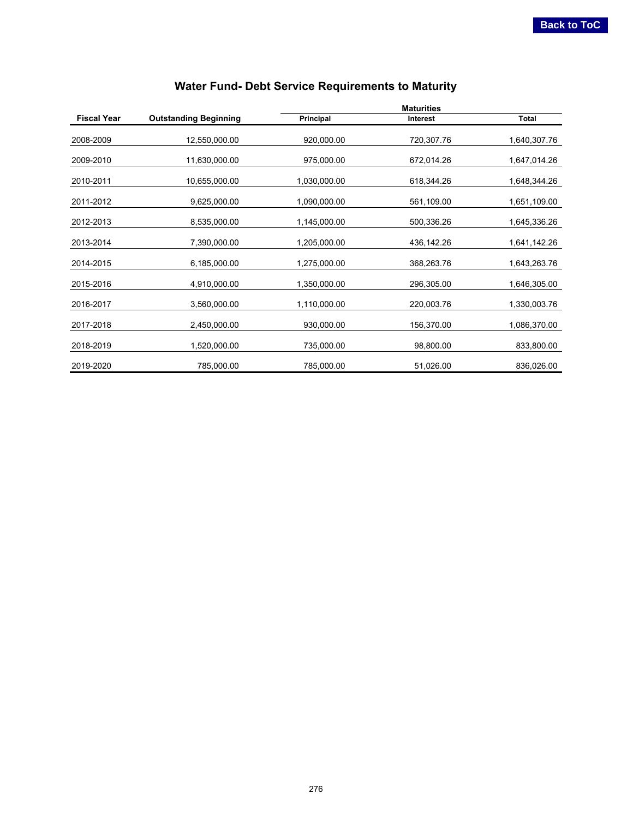<span id="page-15-0"></span>

|                    |                              | <b>Maturities</b> |                 |              |
|--------------------|------------------------------|-------------------|-----------------|--------------|
| <b>Fiscal Year</b> | <b>Outstanding Beginning</b> | Principal         | <b>Interest</b> | Total        |
| 2008-2009          | 12,550,000.00                | 920,000.00        | 720,307.76      | 1,640,307.76 |
| 2009-2010          | 11,630,000.00                | 975,000.00        | 672,014.26      | 1,647,014.26 |
| 2010-2011          | 10,655,000.00                | 1,030,000.00      | 618,344.26      | 1,648,344.26 |
| 2011-2012          | 9,625,000.00                 | 1,090,000.00      | 561,109.00      | 1,651,109.00 |
| 2012-2013          | 8,535,000.00                 | 1,145,000.00      | 500,336.26      | 1,645,336.26 |
| 2013-2014          | 7,390,000.00                 | 1,205,000.00      | 436,142.26      | 1,641,142.26 |
| 2014-2015          | 6,185,000.00                 | 1,275,000.00      | 368,263.76      | 1,643,263.76 |
| 2015-2016          | 4,910,000.00                 | 1,350,000.00      | 296,305.00      | 1,646,305.00 |
| 2016-2017          | 3,560,000.00                 | 1,110,000.00      | 220,003.76      | 1,330,003.76 |
| 2017-2018          | 2,450,000.00                 | 930,000.00        | 156,370.00      | 1,086,370.00 |
| 2018-2019          | 1,520,000.00                 | 735,000.00        | 98,800.00       | 833,800.00   |
| 2019-2020          | 785,000.00                   | 785,000.00        | 51,026.00       | 836,026.00   |

## **Water Fund- Debt Service Requirements to Maturity**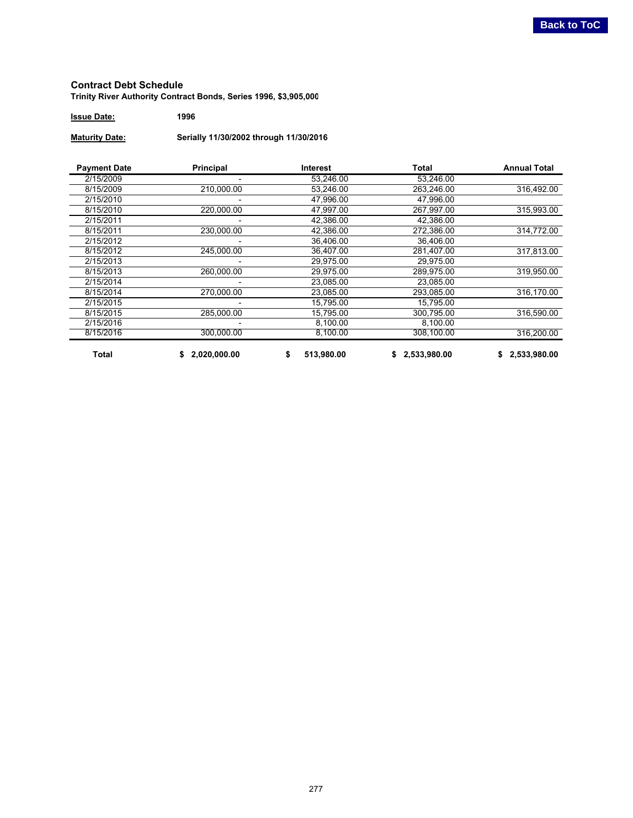#### **Contract Debt Schedule Trinity River Authority Contract Bonds, Series 1996, \$3,905,000**

**Issue Date: 1996**

**Maturity Date: Serially 11/30/2002 through 11/30/2016**

| <b>Payment Date</b> | <b>Principal</b> | <b>Interest</b>  | Total        | <b>Annual Total</b> |
|---------------------|------------------|------------------|--------------|---------------------|
| 2/15/2009           |                  | 53,246.00        | 53,246.00    |                     |
| 8/15/2009           | 210,000.00       | 53,246.00        | 263,246.00   | 316,492.00          |
| 2/15/2010           |                  | 47,996.00        | 47,996.00    |                     |
| 8/15/2010           | 220,000.00       | 47.997.00        | 267.997.00   | 315,993.00          |
| 2/15/2011           |                  | 42.386.00        | 42.386.00    |                     |
| 8/15/2011           | 230.000.00       | 42.386.00        | 272.386.00   | 314,772.00          |
| 2/15/2012           |                  | 36,406.00        | 36,406.00    |                     |
| 8/15/2012           | 245,000.00       | 36,407.00        | 281,407.00   | 317,813.00          |
| 2/15/2013           |                  | 29.975.00        | 29.975.00    |                     |
| 8/15/2013           | 260,000.00       | 29,975.00        | 289,975.00   | 319,950.00          |
| 2/15/2014           |                  | 23,085.00        | 23.085.00    |                     |
| 8/15/2014           | 270,000.00       | 23,085.00        | 293.085.00   | 316,170.00          |
| 2/15/2015           |                  | 15,795.00        | 15.795.00    |                     |
| 8/15/2015           | 285.000.00       | 15,795.00        | 300,795.00   | 316,590.00          |
| 2/15/2016           |                  | 8,100.00         | 8,100.00     |                     |
| 8/15/2016           | 300.000.00       | 8,100.00         | 308,100.00   | 316,200.00          |
| <b>Total</b>        | 2,020,000.00     | 513,980.00<br>\$ | 2,533,980.00 | 2,533,980.00        |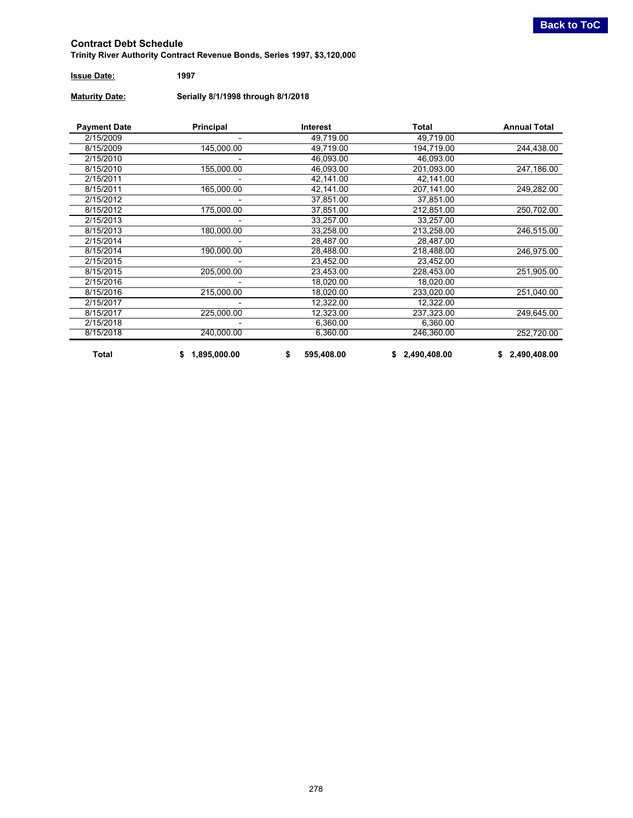<span id="page-17-0"></span>**Trinity River Authority Contract Revenue Bonds, Series 1997, \$3,120,000**

### **Issue Date: 1997**

**Maturity Date: Serially 8/1/1998 through 8/1/2018**

| <b>Payment Date</b> | Principal          | Interest         | <b>Total</b>       | <b>Annual Total</b> |
|---------------------|--------------------|------------------|--------------------|---------------------|
| 2/15/2009           |                    | 49,719.00        | 49,719.00          |                     |
| 8/15/2009           | 145,000.00         | 49,719.00        | 194,719.00         | 244,438.00          |
| 2/15/2010           |                    | 46.093.00        | 46.093.00          |                     |
| 8/15/2010           | 155,000.00         | 46,093.00        | 201,093.00         | 247,186.00          |
| 2/15/2011           |                    | 42,141.00        | 42,141.00          |                     |
| 8/15/2011           | 165,000.00         | 42,141.00        | 207,141.00         | 249,282.00          |
| 2/15/2012           |                    | 37,851.00        | 37,851.00          |                     |
| 8/15/2012           | 175,000.00         | 37,851.00        | 212,851.00         | 250,702.00          |
| 2/15/2013           |                    | 33,257.00        | 33,257.00          |                     |
| 8/15/2013           | 180,000.00         | 33,258.00        | 213,258.00         | 246,515.00          |
| 2/15/2014           |                    | 28,487.00        | 28,487.00          |                     |
| 8/15/2014           | 190,000.00         | 28,488.00        | 218,488.00         | 246,975.00          |
| 2/15/2015           |                    | 23,452.00        | 23,452.00          |                     |
| 8/15/2015           | 205,000.00         | 23,453.00        | 228.453.00         | 251,905.00          |
| 2/15/2016           |                    | 18,020.00        | 18,020.00          |                     |
| 8/15/2016           | 215,000.00         | 18,020.00        | 233,020.00         | 251,040.00          |
| 2/15/2017           |                    | 12,322.00        | 12,322.00          |                     |
| 8/15/2017           | 225,000.00         | 12,323.00        | 237,323.00         | 249,645.00          |
| 2/15/2018           |                    | 6,360.00         | 6,360.00           |                     |
| 8/15/2018           | 240,000.00         | 6,360.00         | 246,360.00         | 252,720.00          |
| Total               | 1,895,000.00<br>\$ | 595,408.00<br>\$ | 2,490,408.00<br>S. | 2,490,408.00<br>\$  |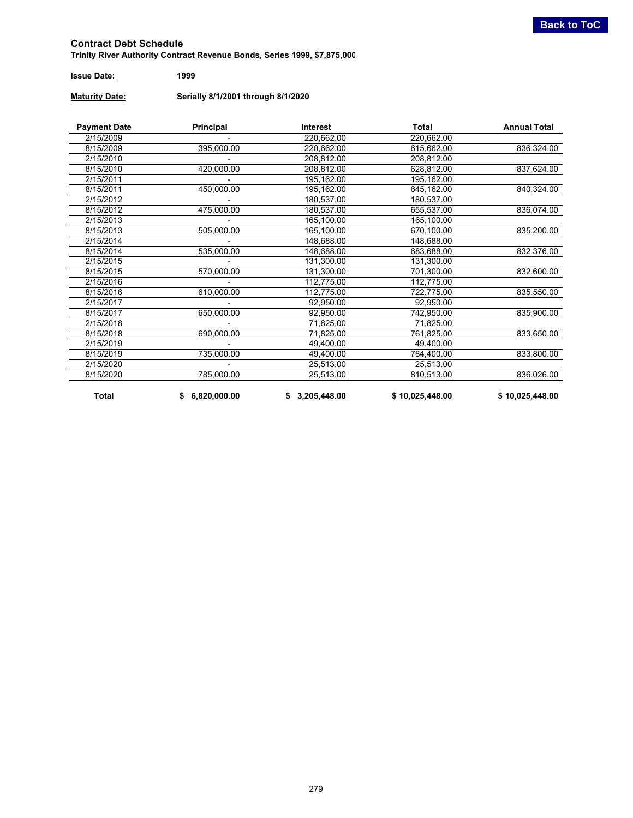<span id="page-18-0"></span>**Trinity River Authority Contract Revenue Bonds, Series 1999, \$7,875,000**

| <b>Issue Date:</b> | 1999 |
|--------------------|------|
|                    |      |

**Maturity Date: Serially 8/1/2001 through 8/1/2020**

| <b>Payment Date</b>     | Principal               | <b>Interest</b> | <b>Total</b>    | <b>Annual Total</b> |
|-------------------------|-------------------------|-----------------|-----------------|---------------------|
| 2/15/2009               |                         | 220,662.00      | 220,662.00      |                     |
| 8/15/2009               | 395,000.00              | 220,662.00      | 615,662.00      | 836,324.00          |
| 2/15/2010               |                         | 208,812.00      | 208,812.00      |                     |
| 8/15/2010               | 420,000.00              | 208,812.00      | 628,812.00      | 837,624.00          |
| 2/15/2011               |                         | 195,162.00      | 195,162.00      |                     |
| 8/15/2011               | 450,000.00              | 195,162.00      | 645,162.00      | 840,324.00          |
| 2/15/2012               |                         | 180,537.00      | 180,537.00      |                     |
| 8/15/2012               | 475,000.00              | 180,537.00      | 655,537.00      | 836,074.00          |
| 2/15/2013               |                         | 165,100.00      | 165,100.00      |                     |
| 8/15/2013               | 505,000.00              | 165,100.00      | 670,100.00      | 835,200.00          |
| 2/15/2014               |                         | 148,688.00      | 148,688.00      |                     |
| 8/15/2014               | 535,000.00              | 148,688.00      | 683,688.00      | 832,376.00          |
| 2/15/2015               |                         | 131,300.00      | 131,300.00      |                     |
| 8/15/2015               | 570,000.00              | 131,300.00      | 701,300.00      | 832,600.00          |
| 2/15/2016               | 112,775.00              |                 | 112,775.00      |                     |
| 8/15/2016               | 610,000.00              | 112,775.00      | 722,775.00      | 835,550.00          |
| 2/15/2017               |                         | 92,950.00       | 92,950.00       |                     |
| 8/15/2017               | 650,000.00              | 92,950.00       | 742,950.00      | 835,900.00          |
| 2/15/2018               |                         |                 | 71,825.00       |                     |
| 8/15/2018<br>690,000.00 |                         | 71,825.00       | 761,825.00      | 833,650.00          |
| 2/15/2019               |                         | 49,400.00       |                 |                     |
| 8/15/2019               | 735,000.00<br>49,400.00 |                 | 784,400.00      | 833,800.00          |
| 2/15/2020               |                         | 25,513.00       | 25,513.00       |                     |
| 8/15/2020               | 785,000.00              | 25,513.00       | 810,513.00      | 836,026.00          |
| <b>Total</b>            | 6,820,000.00<br>\$      | 3,205,448.00    | \$10,025,448.00 | \$10,025,448.00     |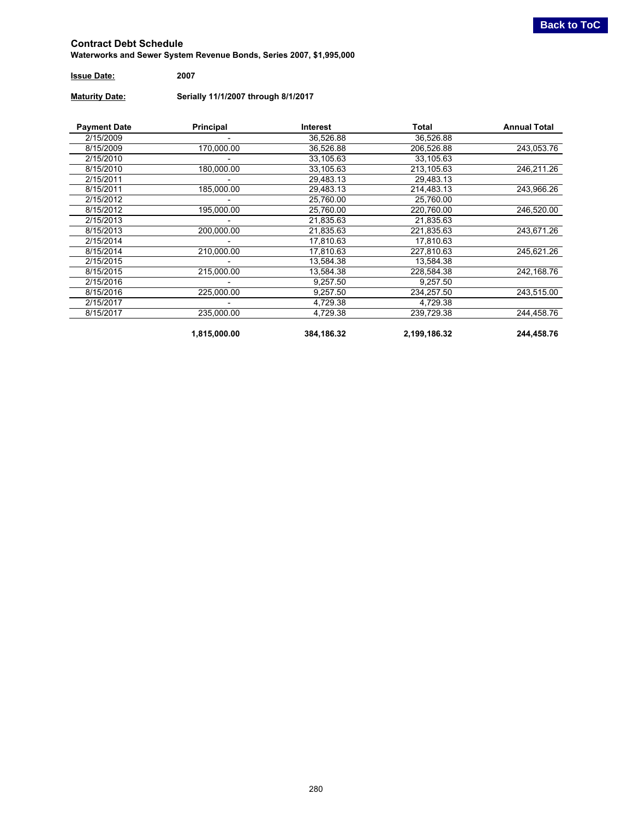<span id="page-19-0"></span>**Waterworks and Sewer System Revenue Bonds, Series 2007, \$1,995,000**

| <b>Issue Date:</b> | 2007 |
|--------------------|------|
|                    |      |

**Maturity Date: Serially 11/1/2007 through 8/1/2017**

| <b>Payment Date</b>     | Principal    | Interest   | Total        | <b>Annual Total</b> |           |  |
|-------------------------|--------------|------------|--------------|---------------------|-----------|--|
| 2/15/2009               |              | 36,526.88  | 36,526.88    |                     |           |  |
| 8/15/2009               | 170,000.00   | 36.526.88  | 206.526.88   | 243,053.76          |           |  |
| 2/15/2010               |              | 33,105.63  | 33,105.63    |                     |           |  |
| 8/15/2010               | 180,000.00   | 33,105.63  | 213,105.63   | 246,211.26          |           |  |
| 2/15/2011               |              | 29.483.13  | 29.483.13    |                     |           |  |
| 8/15/2011               | 185,000.00   | 29,483.13  | 214.483.13   | 243,966.26          |           |  |
| 2/15/2012               |              | 25.760.00  | 25,760.00    |                     |           |  |
| 8/15/2012               | 195,000.00   | 25,760.00  | 220,760.00   | 246,520.00          |           |  |
| 2/15/2013               |              | 21,835.63  | 21,835.63    |                     |           |  |
| 200,000.00<br>8/15/2013 |              | 21,835.63  | 221,835.63   | 243,671.26          |           |  |
| 2/15/2014               |              |            | 17,810.63    |                     | 17,810.63 |  |
| 8/15/2014               | 210,000.00   | 17,810.63  | 227,810.63   | 245,621.26          |           |  |
| 2/15/2015               |              | 13,584.38  | 13,584.38    |                     |           |  |
| 8/15/2015               | 215,000.00   | 13,584.38  | 228,584.38   | 242,168.76          |           |  |
| 2/15/2016               |              | 9,257.50   | 9,257.50     |                     |           |  |
| 8/15/2016<br>225,000.00 |              | 9,257.50   | 234,257.50   | 243,515.00          |           |  |
| 2/15/2017               |              | 4,729.38   | 4,729.38     |                     |           |  |
| 8/15/2017               | 235,000.00   | 4,729.38   | 239,729.38   | 244,458.76          |           |  |
|                         | 1,815,000.00 | 384,186.32 | 2,199,186.32 | 244,458.76          |           |  |

280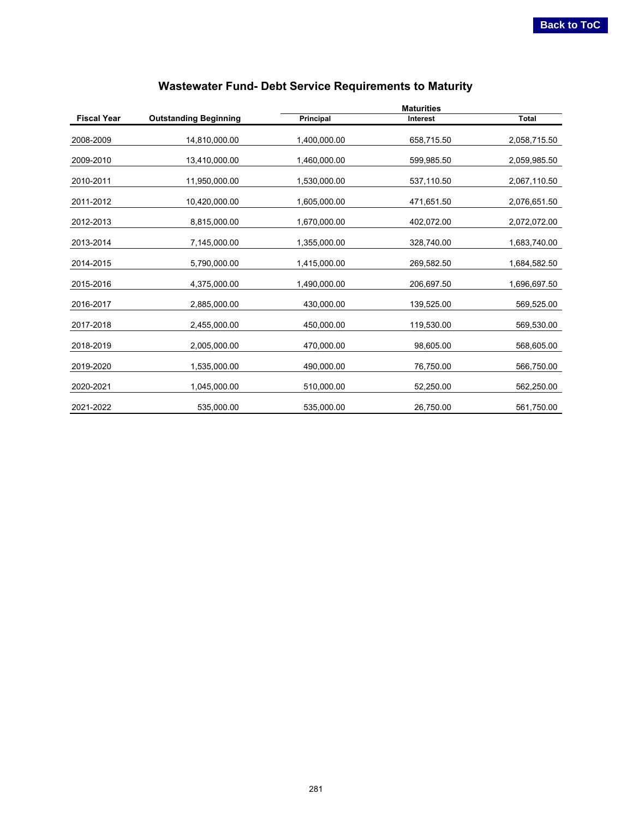<span id="page-20-0"></span>

|                           |                              | <b>Maturities</b> |                 |              |  |  |  |
|---------------------------|------------------------------|-------------------|-----------------|--------------|--|--|--|
| <b>Fiscal Year</b>        | <b>Outstanding Beginning</b> | Principal         | <b>Interest</b> | <b>Total</b> |  |  |  |
| 2008-2009                 | 14,810,000.00                | 1,400,000.00      | 658,715.50      | 2,058,715.50 |  |  |  |
| 2009-2010                 | 13,410,000.00                | 1,460,000.00      | 599,985.50      | 2,059,985.50 |  |  |  |
| 2010-2011                 | 11,950,000.00                | 1,530,000.00      | 537,110.50      | 2,067,110.50 |  |  |  |
| 2011-2012                 | 10,420,000.00                | 1,605,000.00      | 471,651.50      | 2,076,651.50 |  |  |  |
| 2012-2013                 | 8,815,000.00                 | 1,670,000.00      | 402,072.00      | 2,072,072.00 |  |  |  |
| 2013-2014<br>7,145,000.00 |                              | 1,355,000.00      | 328,740.00      | 1,683,740.00 |  |  |  |
| 2014-2015<br>5,790,000.00 |                              | 1,415,000.00      | 269,582.50      | 1,684,582.50 |  |  |  |
| 2015-2016                 | 4,375,000.00                 | 1,490,000.00      | 206,697.50      | 1,696,697.50 |  |  |  |
| 2016-2017<br>2,885,000.00 |                              | 430,000.00        | 139,525.00      | 569,525.00   |  |  |  |
| 2017-2018<br>2,455,000.00 |                              | 450,000.00        | 119,530.00      | 569,530.00   |  |  |  |
| 2018-2019                 | 2,005,000.00                 | 470,000.00        | 98,605.00       | 568,605.00   |  |  |  |
| 2019-2020                 | 1,535,000.00                 | 490,000.00        | 76,750.00       | 566,750.00   |  |  |  |
| 2020-2021                 | 1,045,000.00                 | 510,000.00        | 52,250.00       | 562,250.00   |  |  |  |
| 2021-2022                 | 535,000.00                   | 535,000.00        | 26,750.00       | 561,750.00   |  |  |  |

## **Wastewater Fund- Debt Service Requirements to Maturity**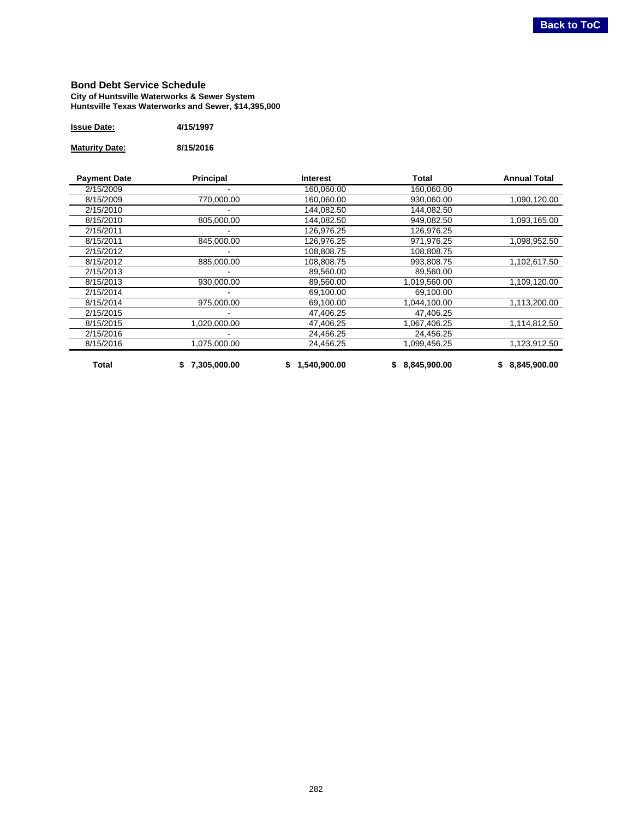#### <span id="page-21-0"></span>**Bond Debt Service Schedule City of Huntsville Waterworks & Sewer System Huntsville Texas Waterworks and Sewer, \$14,395,000**

| <b>Issue Date:</b> | 4/15/1997 |
|--------------------|-----------|
|                    |           |

**Maturity Date: 8/15/2016**

| <b>Payment Date</b> | <b>Principal</b>         | <b>Interest</b>        | Total        | <b>Annual Total</b> |  |  |  |  |
|---------------------|--------------------------|------------------------|--------------|---------------------|--|--|--|--|
| 2/15/2009           |                          | 160,060.00             | 160,060.00   |                     |  |  |  |  |
| 8/15/2009           | 770,000.00               | 160.060.00             | 930.060.00   | 1,090,120.00        |  |  |  |  |
| 2/15/2010           |                          | 144,082.50             | 144,082.50   |                     |  |  |  |  |
| 8/15/2010           | 805,000.00               | 144.082.50             | 949.082.50   | 1,093,165.00        |  |  |  |  |
| 2/15/2011           | 126,976.25<br>126,976.25 |                        |              |                     |  |  |  |  |
| 8/15/2011           | 845,000.00               | 126,976.25             | 971,976.25   | 1,098,952.50        |  |  |  |  |
| 2/15/2012           |                          | 108,808.75             | 108,808.75   |                     |  |  |  |  |
| 8/15/2012           | 885,000.00               | 108,808.75             | 993,808.75   | 1,102,617.50        |  |  |  |  |
| 2/15/2013           |                          | 89,560.00              | 89,560.00    |                     |  |  |  |  |
| 8/15/2013           | 930,000.00               | 89,560.00              | 1,019,560.00 | 1,109,120.00        |  |  |  |  |
| 2/15/2014           |                          | 69,100.00<br>69,100.00 |              |                     |  |  |  |  |
| 8/15/2014           | 975,000.00               | 69,100.00              | 1,044,100.00 | 1,113,200.00        |  |  |  |  |
| 2/15/2015           |                          | 47,406.25              | 47,406.25    |                     |  |  |  |  |
| 8/15/2015           | 1,020,000.00             | 47,406.25              | 1,067,406.25 | 1,114,812.50        |  |  |  |  |
| 2/15/2016           |                          | 24,456.25              | 24,456.25    |                     |  |  |  |  |
| 8/15/2016           | 1,075,000.00             | 24,456.25              | 1,099,456.25 | 1,123,912.50        |  |  |  |  |
| Total               | 7,305,000.00             | 1,540,900.00<br>S      | 8,845,900.00 | 8,845,900.00        |  |  |  |  |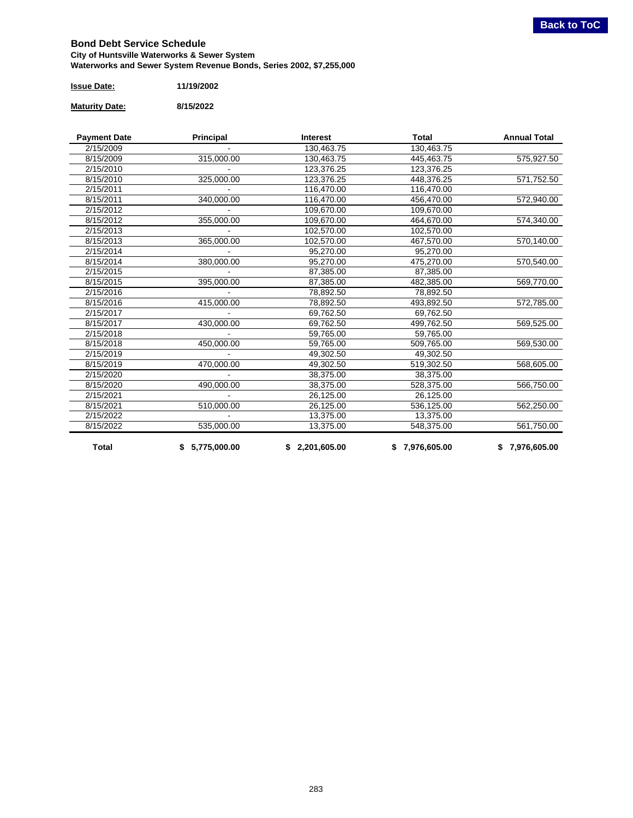#### <span id="page-22-0"></span>**Bond Debt Service Schedule City of Huntsville Waterworks & Sewer System Waterworks and Sewer System Revenue Bonds, Series 2002, \$7,255,000**

| <b>Issue Date:</b> | 11/19/2002 |
|--------------------|------------|
|                    |            |

**Maturity Date: 8/15/2022**

| <b>Payment Date</b> | Principal      | <b>Interest</b> | <b>Total</b>   | <b>Annual Total</b> |
|---------------------|----------------|-----------------|----------------|---------------------|
| 2/15/2009           |                | 130,463.75      | 130,463.75     |                     |
| 8/15/2009           | 315,000.00     | 130,463.75      | 445,463.75     | 575,927.50          |
| 2/15/2010           |                | 123,376.25      | 123,376.25     |                     |
| 8/15/2010           | 325,000.00     | 123,376.25      | 448,376.25     | 571,752.50          |
| 2/15/2011           |                | 116,470.00      | 116,470.00     |                     |
| 8/15/2011           | 340,000.00     | 456,470.00      | 572,940.00     |                     |
| 2/15/2012           |                | 109,670.00      | 109,670.00     |                     |
| 8/15/2012           | 355,000.00     | 109,670.00      | 464,670.00     | 574,340.00          |
| 2/15/2013           |                | 102,570.00      | 102,570.00     |                     |
| 8/15/2013           | 365,000.00     | 102,570.00      | 467,570.00     | 570,140.00          |
| 2/15/2014           |                | 95,270.00       |                |                     |
| 8/15/2014           | 380,000.00     | 95,270.00       | 475,270.00     | 570,540.00          |
| 2/15/2015           |                | 87,385.00       | 87,385.00      |                     |
| 8/15/2015           | 395,000.00     | 87,385.00       | 482,385.00     | 569,770.00          |
| 2/15/2016           |                | 78,892.50       | 78,892.50      |                     |
| 8/15/2016           | 415,000.00     | 78,892.50       | 493,892.50     | 572,785.00          |
| 2/15/2017           | 69,762.50      |                 | 69,762.50      |                     |
| 8/15/2017           | 430,000.00     | 69,762.50       | 499,762.50     | 569,525.00          |
| 2/15/2018           |                | 59,765.00       | 59,765.00      |                     |
| 8/15/2018           | 450,000.00     | 59,765.00       | 509,765.00     | 569,530.00          |
| 2/15/2019           |                | 49,302.50       | 49,302.50      |                     |
| 8/15/2019           | 470,000.00     | 49,302.50       | 519,302.50     | 568,605.00          |
| 2/15/2020           |                | 38,375.00       | 38,375.00      |                     |
| 8/15/2020           | 490,000.00     | 38,375.00       | 528,375.00     | 566,750.00          |
| 2/15/2021           |                |                 | 26,125.00      |                     |
| 8/15/2021           | 510,000.00     | 26,125.00       | 536,125.00     | 562,250.00          |
| 2/15/2022           |                | 13,375.00       | 13,375.00      |                     |
| 8/15/2022           | 535,000.00     | 13,375.00       | 548,375.00     | 561,750.00          |
| <b>Total</b>        | \$5,775,000.00 | \$2,201,605.00  | \$7,976,605.00 | \$7,976,605.00      |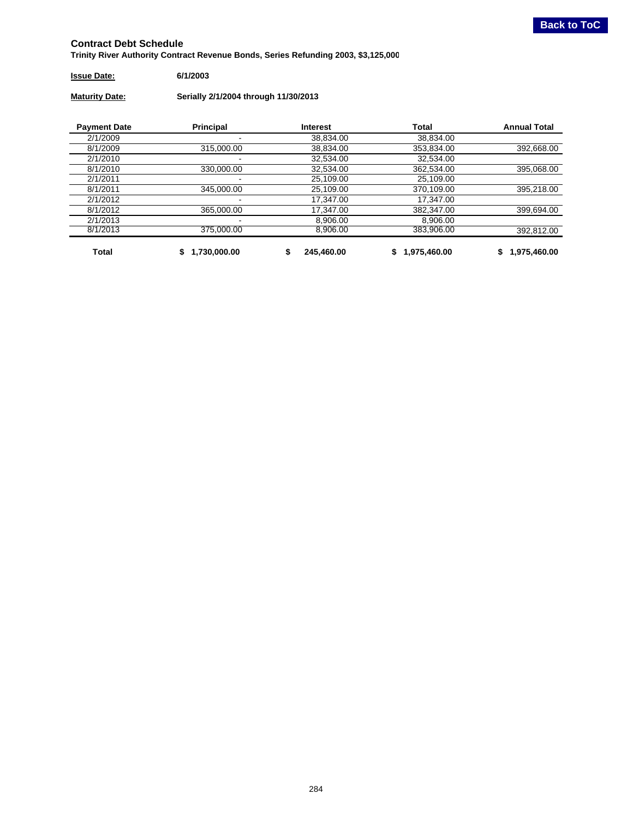<span id="page-23-0"></span>**Trinity River Authority Contract Revenue Bonds, Series Refunding 2003, \$3,125,000**

#### **Issue Date: 6/1/2003**

**Maturity Date: Serially 2/1/2004 through 11/30/2013**

| <b>Payment Date</b> | <b>Principal</b> | <b>Interest</b> |              | <b>Annual Total</b> |
|---------------------|------------------|-----------------|--------------|---------------------|
| 2/1/2009            |                  | 38,834.00       | 38,834.00    |                     |
| 8/1/2009            | 315,000,00       | 38.834.00       | 353,834.00   | 392,668.00          |
| 2/1/2010            |                  | 32,534.00       | 32,534.00    |                     |
| 8/1/2010            | 330,000.00       | 32,534.00       | 362,534.00   | 395,068.00          |
| 2/1/2011            |                  | 25,109.00       | 25,109.00    |                     |
| 8/1/2011            | 345.000.00       | 25,109.00       | 370.109.00   | 395,218.00          |
| 2/1/2012            |                  | 17.347.00       | 17.347.00    |                     |
| 8/1/2012            | 365,000.00       | 17,347.00       | 382,347.00   | 399,694.00          |
| 2/1/2013            |                  | 8,906.00        | 8,906.00     |                     |
| 8/1/2013            | 375.000.00       | 8.906.00        | 383.906.00   | 392.812.00          |
| Total               | 1,730,000.00     | 245.460.00      | 1,975,460.00 | 1,975,460.00<br>\$  |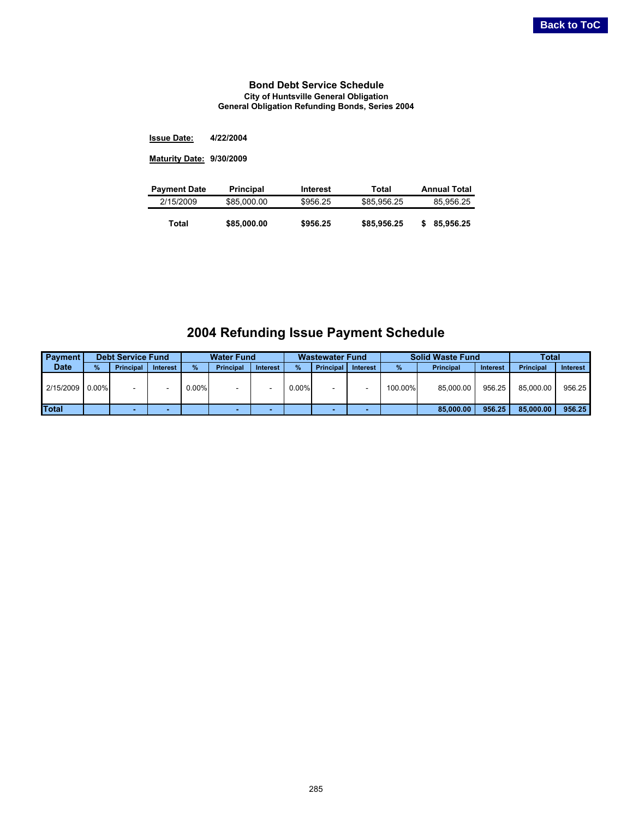#### **Bond Debt Service Schedule City of Huntsville General Obligation General Obligation Refunding Bonds, Series 2004**

<span id="page-24-0"></span>**4/22/2004 Issue Date:**

**9/30/2009 Maturity Date:**

| <b>Payment Date</b> | <b>Principal</b> | Interest | Total       | <b>Annual Total</b> |
|---------------------|------------------|----------|-------------|---------------------|
| 2/15/2009           | \$85,000.00      | \$956.25 | \$85,956.25 | 85.956.25           |
| Total               | \$85,000.00      | \$956.25 | \$85,956.25 | 85.956.25           |
|                     |                  |          |             |                     |

## **2004 Refunding Issue Payment Schedule**

| <b>Payment</b>  |      | <b>Debt Service Fund</b> |                 |          | <b>Water Fund</b> |                 | <b>Wastewater Fund</b> |                  | <b>Solid Waste Fund</b> |         | Total            |          |                  |          |
|-----------------|------|--------------------------|-----------------|----------|-------------------|-----------------|------------------------|------------------|-------------------------|---------|------------------|----------|------------------|----------|
| <b>Date</b>     | $\%$ | <b>Principal</b>         | <b>Interest</b> | %        | <b>Principal</b>  | <b>Interest</b> | %                      | <b>Principal</b> | <b>Interest</b>         | $\%$    | <b>Principal</b> | Interest | <b>Principal</b> | Interest |
| 2/15/2009 0.00% |      |                          |                 | $0.00\%$ |                   |                 | $0.00\%$               |                  |                         | 100.00% | 85.000.00        | 956.25   | 85.000.00        | 956.25   |
| <b>Total</b>    |      |                          |                 |          |                   |                 |                        |                  |                         |         | 85,000,00        | 956.25   | 85,000,00        | 956.25   |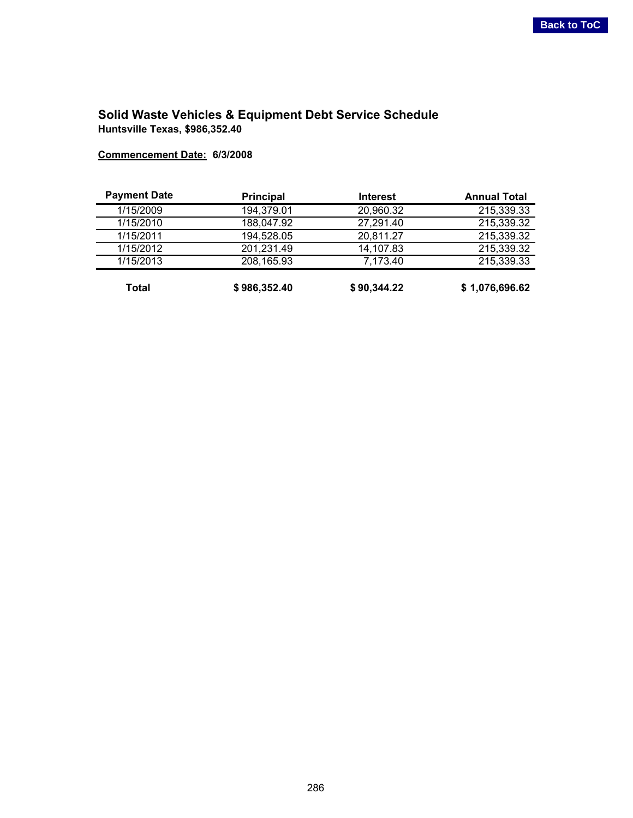## <span id="page-25-0"></span>**Solid Waste Vehicles & Equipment Debt Service Schedule Huntsville Texas, \$986,352.40**

**Commencement Date: 6/3/2008**

| <b>Payment Date</b> | <b>Principal</b> | <b>Interest</b> | <b>Annual Total</b> |
|---------------------|------------------|-----------------|---------------------|
| 1/15/2009           | 194,379.01       | 20,960.32       | 215,339.33          |
| 1/15/2010           | 188,047.92       | 27,291.40       | 215,339.32          |
| 1/15/2011           | 194,528.05       | 20,811.27       | 215,339.32          |
| 1/15/2012           | 201,231.49       | 14,107.83       | 215,339.32          |
| 1/15/2013           | 208,165.93       | 7,173.40        | 215,339.33          |
| Total               | \$986,352.40     | \$90,344.22     | \$1,076,696.62      |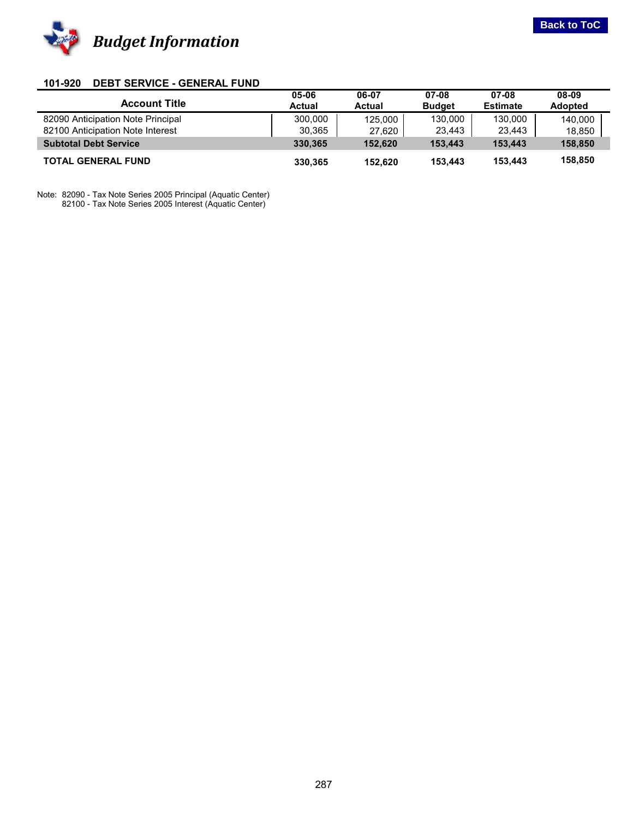<span id="page-26-0"></span>

#### **101-920 DEBT SERVICE - GENERAL FUND**

|                                   | 05-06         | 06-07         | 07-08         | 07-08           | 08-09          |
|-----------------------------------|---------------|---------------|---------------|-----------------|----------------|
| <b>Account Title</b>              | <b>Actual</b> | <b>Actual</b> | <b>Budget</b> | <b>Estimate</b> | <b>Adopted</b> |
| 82090 Anticipation Note Principal | 300,000       | 125,000       | 130,000       | 130.000         | 140.000        |
| 82100 Anticipation Note Interest  | 30,365        | 27,620        | 23,443        | 23,443          | 18,850         |
| <b>Subtotal Debt Service</b>      | 330.365       | 152.620       | 153.443       | 153.443         | 158,850        |
| <b>TOTAL GENERAL FUND</b>         | 330.365       | 152.620       | 153.443       | 153,443         | 158,850        |

Note: 82090 - Tax Note Series 2005 Principal (Aquatic Center) 82100 - Tax Note Series 2005 Interest (Aquatic Center)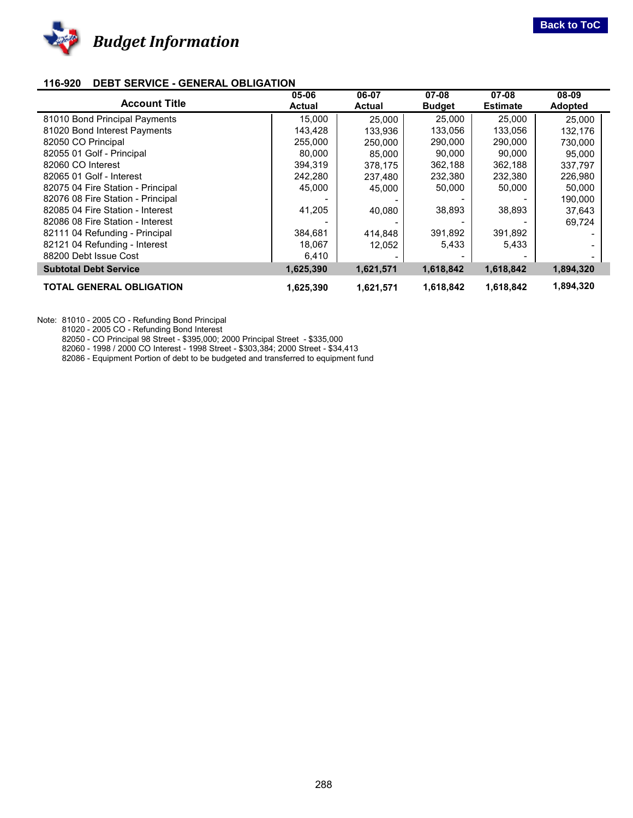<span id="page-27-0"></span>

#### **116-920 DEBT SERVICE - GENERAL OBLIGATION**

|                                   | 05-06         | 06-07         | 07-08         | $07 - 08$       | 08-09          |
|-----------------------------------|---------------|---------------|---------------|-----------------|----------------|
| <b>Account Title</b>              | <b>Actual</b> | <b>Actual</b> | <b>Budget</b> | <b>Estimate</b> | <b>Adopted</b> |
| 81010 Bond Principal Payments     | 15,000        | 25.000        | 25,000        | 25,000          | 25.000         |
| 81020 Bond Interest Payments      | 143,428       | 133.936       | 133.056       | 133.056         | 132,176        |
| 82050 CO Principal                | 255,000       | 250.000       | 290,000       | 290,000         | 730.000        |
| 82055 01 Golf - Principal         | 80,000        | 85.000        | 90,000        | 90,000          | 95.000         |
| 82060 CO Interest                 | 394,319       | 378.175       | 362,188       | 362,188         | 337,797        |
| 82065 01 Golf - Interest          | 242,280       | 237,480       | 232,380       | 232,380         | 226,980        |
| 82075 04 Fire Station - Principal | 45,000        | 45,000        | 50,000        | 50,000          | 50,000         |
| 82076 08 Fire Station - Principal |               |               |               |                 | 190,000        |
| 82085 04 Fire Station - Interest  | 41,205        | 40.080        | 38,893        | 38,893          | 37,643         |
| 82086 08 Fire Station - Interest  |               |               |               |                 | 69,724         |
| 82111 04 Refunding - Principal    | 384,681       | 414,848       | 391,892       | 391,892         |                |
| 82121 04 Refunding - Interest     | 18,067        | 12.052        | 5,433         | 5,433           |                |
| 88200 Debt Issue Cost             | 6,410         |               |               |                 |                |
| <b>Subtotal Debt Service</b>      | 1,625,390     | 1,621,571     | 1,618,842     | 1,618,842       | 1,894,320      |
| <b>TOTAL GENERAL OBLIGATION</b>   | 1,625,390     | 1,621,571     | 1,618,842     | 1,618,842       | 1,894,320      |

Note: 81010 - 2005 CO - Refunding Bond Principal

81020 - 2005 CO - Refunding Bond Interest

82050 - CO Principal 98 Street - \$395,000; 2000 Principal Street - \$335,000

82060 - 1998 / 2000 CO Interest - 1998 Street - \$303,384; 2000 Street - \$34,413

82086 - Equipment Portion of debt to be budgeted and transferred to equipment fund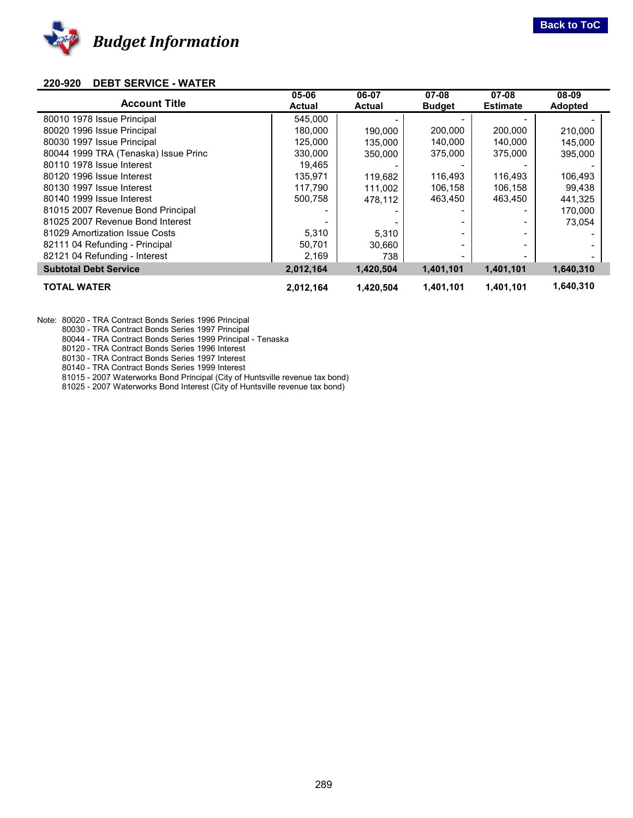<span id="page-28-0"></span>

#### **220-920 DEBT SERVICE - WATER**

| <b>Account Title</b>                 | 05-06<br><b>Actual</b> | 06-07<br><b>Actual</b> | 07-08<br><b>Budget</b> | $07 - 08$<br><b>Estimate</b> | 08-09<br><b>Adopted</b> |  |
|--------------------------------------|------------------------|------------------------|------------------------|------------------------------|-------------------------|--|
| 80010 1978 Issue Principal           | 545,000                |                        |                        |                              |                         |  |
| 80020 1996 Issue Principal           | 180.000                | 190.000                | 200,000                | 200,000                      | 210.000                 |  |
| 80030 1997 Issue Principal           | 125,000                | 135,000                | 140,000                | 140,000                      | 145.000                 |  |
| 80044 1999 TRA (Tenaska) Issue Princ | 330,000                | 350,000                | 375,000                | 375,000                      | 395,000                 |  |
| 80110 1978 Issue Interest            | 19,465                 |                        |                        |                              |                         |  |
| 80120 1996 Issue Interest            | 135,971                | 119,682                | 116,493                | 116,493                      | 106,493                 |  |
| 80130 1997 Issue Interest            | 117,790                | 111.002                | 106,158                | 106,158                      | 99.438                  |  |
| 80140 1999 Issue Interest            | 500,758                | 478.112                | 463,450                | 463,450                      | 441,325                 |  |
| 81015 2007 Revenue Bond Principal    |                        |                        |                        |                              | 170,000                 |  |
| 81025 2007 Revenue Bond Interest     |                        |                        |                        |                              | 73,054                  |  |
| 81029 Amortization Issue Costs       | 5,310                  | 5,310                  |                        |                              |                         |  |
| 82111 04 Refunding - Principal       | 50,701                 | 30.660                 |                        |                              |                         |  |
| 82121 04 Refunding - Interest        | 2,169                  | 738                    |                        |                              |                         |  |
| <b>Subtotal Debt Service</b>         | 2,012,164              | 1,420,504              | 1,401,101              | 1,401,101                    | 1,640,310               |  |
| <b>TOTAL WATER</b>                   | 2,012,164              | 1.420.504              | 1,401,101              | 1,401,101                    | 1,640,310               |  |

Note: 80020 - TRA Contract Bonds Series 1996 Principal

80030 - TRA Contract Bonds Series 1997 Principal

80044 - TRA Contract Bonds Series 1999 Principal - Tenaska

80120 - TRA Contract Bonds Series 1996 Interest

80130 - TRA Contract Bonds Series 1997 Interest

80140 - TRA Contract Bonds Series 1999 Interest

81015 - 2007 Waterworks Bond Principal (City of Huntsville revenue tax bond)

81025 - 2007 Waterworks Bond Interest (City of Huntsville revenue tax bond)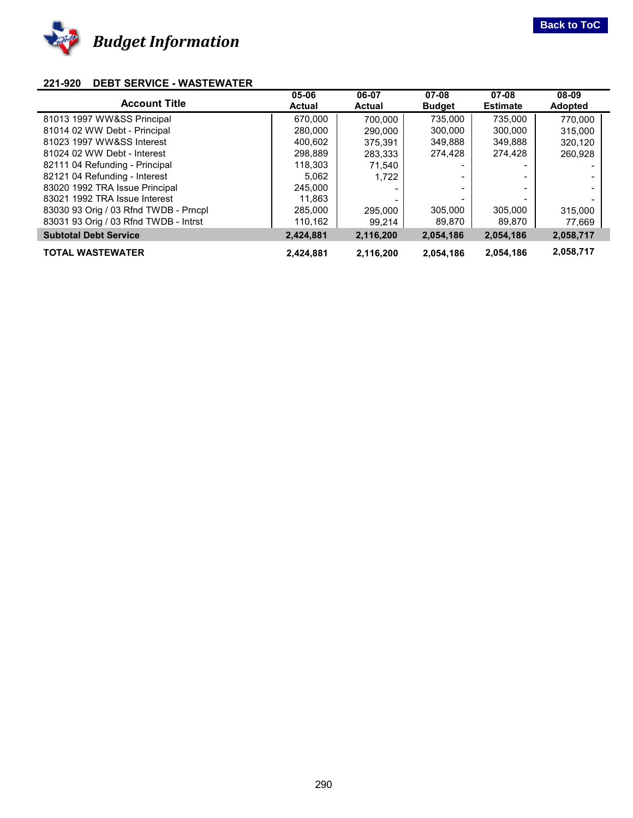<span id="page-29-0"></span>

#### **221-920 DEBT SERVICE - WASTEWATER**

| <b>Account Title</b>                  | 05-06<br><b>Actual</b> | 06-07<br><b>Actual</b> | 07-08<br><b>Budget</b> | $07 - 08$<br><b>Estimate</b> | 08-09<br><b>Adopted</b> |  |
|---------------------------------------|------------------------|------------------------|------------------------|------------------------------|-------------------------|--|
|                                       |                        |                        |                        |                              |                         |  |
| 81013 1997 WW&SS Principal            | 670.000                | 700.000                | 735.000                | 735.000                      | 770.000                 |  |
| 81014 02 WW Debt - Principal          | 280,000                | 290.000                | 300.000                | 300,000                      | 315,000                 |  |
| 81023 1997 WW&SS Interest             | 400.602                | 375.391                | 349,888                | 349,888                      | 320,120                 |  |
| 81024 02 WW Debt - Interest           | 298,889                | 283.333                | 274,428                | 274,428                      | 260,928                 |  |
| 82111 04 Refunding - Principal        | 118,303                | 71.540                 |                        |                              | -                       |  |
| 82121 04 Refunding - Interest         | 5,062                  | 1.722                  |                        |                              | -                       |  |
| 83020 1992 TRA Issue Principal        | 245,000                |                        |                        |                              | -                       |  |
| 83021 1992 TRA Issue Interest         | 11,863                 |                        |                        |                              |                         |  |
| 83030 93 Orig / 03 Rfnd TWDB - Prncpl | 285,000                | 295.000                | 305,000                | 305,000                      | 315,000                 |  |
| 83031 93 Orig / 03 Rfnd TWDB - Intrst | 110,162                | 99.214                 | 89,870                 | 89,870                       | 77,669                  |  |
| <b>Subtotal Debt Service</b>          | 2,424,881              | 2,116,200              | 2,054,186              | 2,054,186                    | 2,058,717               |  |
| <b>TOTAL WASTEWATER</b>               | 2.424.881              | 2.116.200              | 2,054,186              | 2.054.186                    | 2,058,717               |  |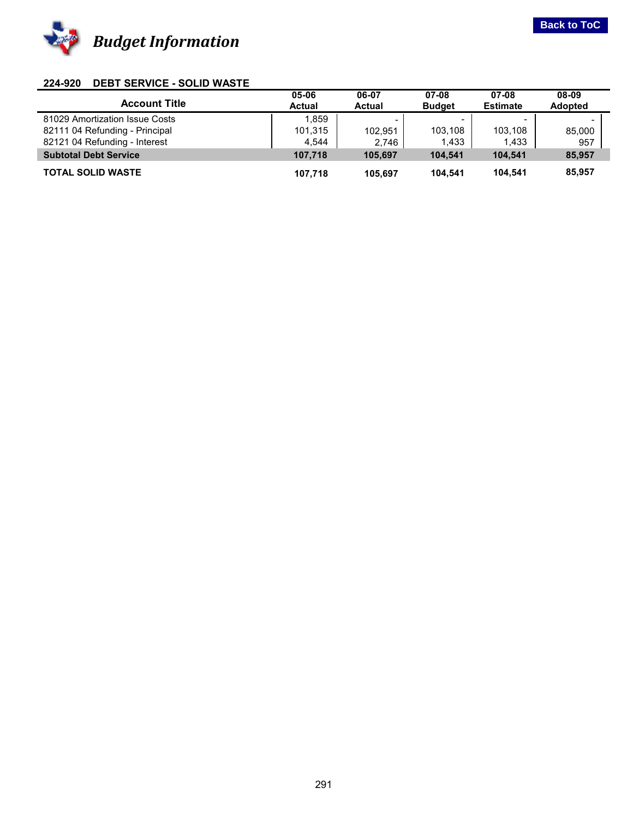<span id="page-30-0"></span>

#### **224-920 DEBT SERVICE - SOLID WASTE**

| <b>Account Title</b>           | 05-06<br><b>Actual</b> | 06-07<br><b>Actual</b>   | 07-08<br><b>Budget</b> | 07-08<br><b>Estimate</b> | 08-09<br><b>Adopted</b>  |  |
|--------------------------------|------------------------|--------------------------|------------------------|--------------------------|--------------------------|--|
| 81029 Amortization Issue Costs | 1.859                  | $\overline{\phantom{0}}$ |                        | $\overline{\phantom{0}}$ | $\overline{\phantom{0}}$ |  |
| 82111 04 Refunding - Principal | 101,315                | 102.951                  | 103.108                | 103.108                  | 85,000                   |  |
| 82121 04 Refunding - Interest  | 4,544                  | 2,746                    | 1,433                  | 1,433                    | 957                      |  |
| <b>Subtotal Debt Service</b>   | 107.718                | 105.697                  | 104.541                | 104.541                  | 85,957                   |  |
| <b>TOTAL SOLID WASTE</b>       | 107.718                | 105.697                  | 104.541                | 104.541                  | 85,957                   |  |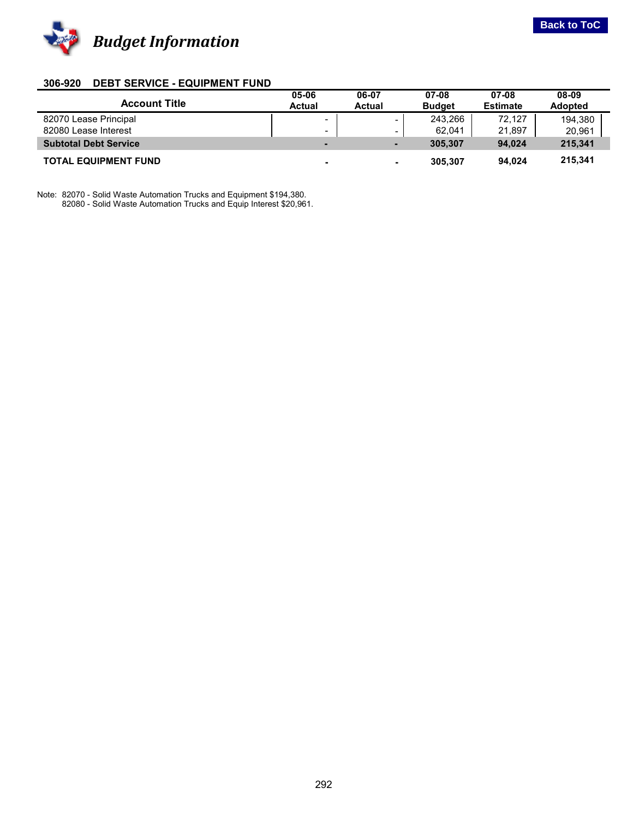<span id="page-31-0"></span>

#### **306-920 DEBT SERVICE - EQUIPMENT FUND**

|                              | 05-06                    | 06-07                    | 07-08         | 07-08           | 08-09          |
|------------------------------|--------------------------|--------------------------|---------------|-----------------|----------------|
| <b>Account Title</b>         | Actual                   | <b>Actual</b>            | <b>Budget</b> | <b>Estimate</b> | <b>Adopted</b> |
| 82070 Lease Principal        | $\overline{\phantom{a}}$ |                          | 243.266       | 72.127          | 194,380        |
| 82080 Lease Interest         | $\overline{\phantom{0}}$ |                          | 62,041        | 21,897          | 20,961         |
| <b>Subtotal Debt Service</b> | -                        | $\overline{\phantom{0}}$ | 305.307       | 94.024          | 215.341        |
| <b>TOTAL EQUIPMENT FUND</b>  | $\overline{\phantom{0}}$ | -                        | 305.307       | 94.024          | 215,341        |

Note: 82070 - Solid Waste Automation Trucks and Equipment \$194,380. 82080 - Solid Waste Automation Trucks and Equip Interest \$20,961.